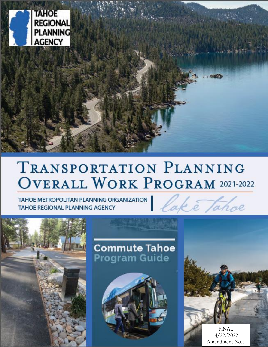

# **TRANSPORTATION PLANNING OVERALL WORK PROGRAM 2021-2022**

TAHOE METROPOLITAN PLANNING ORGANIZATION **TAHOE REGIONAL PLANNING AGENCY** 





**Commute Tahoe** Program Guide



FINAL 4/22/2022 Amendment No.3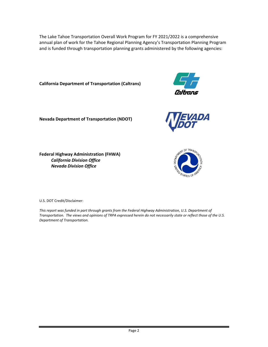The Lake Tahoe Transportation Overall Work Program for FY 2021/2022 is a comprehensive annual plan of work for the Tahoe Regional Planning Agency's Transportation Planning Program and is funded through transportation planning grants administered by the following agencies:

**California Department of Transportation (Caltrans)** 



**Nevada Department of Transportation (NDOT)**



**Federal Highway Administration (FHWA)** *California Division Office Nevada Division Office*



U.S. DOT Credit/Disclaimer:

*This report was funded in part through grants from the Federal Highway Administration, U.S. Department of Transportation. The views and opinions of TRPA expressed herein do not necessarily state or reflect those of the U.S. Department of Transportation.*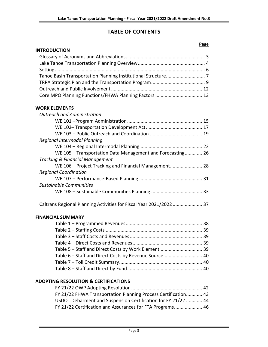# **TABLE OF CONTENTS**

|                                                                     | <u>. usc</u> |
|---------------------------------------------------------------------|--------------|
| <b>INTRODUCTION</b>                                                 |              |
|                                                                     |              |
|                                                                     |              |
|                                                                     |              |
|                                                                     |              |
|                                                                     |              |
|                                                                     |              |
| Core MPO Planning Functions/FHWA Planning Factors  13               |              |
| <b>WORK ELEMENTS</b>                                                |              |
| <b>Outreach and Administration</b>                                  |              |
|                                                                     |              |
|                                                                     |              |
|                                                                     |              |
| Regional Intermodal Planning                                        |              |
|                                                                     |              |
| WE 105 - Transportation Data Management and Forecasting 26          |              |
| <b>Tracking &amp; Financial Management</b>                          |              |
| WE 106 - Project Tracking and Financial Management 28               |              |
| <b>Regional Coordination</b>                                        |              |
|                                                                     |              |
| Sustainable Communities                                             |              |
|                                                                     |              |
| Caltrans Regional Planning Activities for Fiscal Year 2021/2022  37 |              |
| <b>FINANCIAL SUMMARY</b>                                            |              |
|                                                                     |              |
|                                                                     |              |
|                                                                     |              |
|                                                                     |              |
| Table 5 - Staff and Direct Costs by Work Element  39                |              |
| Table 6 - Staff and Direct Costs by Revenue Source 40               |              |
|                                                                     |              |
|                                                                     |              |
|                                                                     |              |

# **ADOPTING RESOLUTION & CERTIFICATIONS**

| FY 21/22 FHWA Transportation Planning Process Certification 43 |  |
|----------------------------------------------------------------|--|
| USDOT Debarment and Suspension Certification for FY 21/22  44  |  |
| FY 21/22 Certification and Assurances for FTA Programs 46      |  |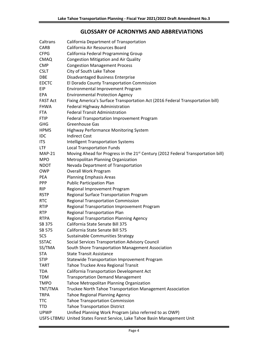# **GLOSSARY OF ACRONYMS AND ABBREVIATIONS**

| Caltrans        | California Department of Transportation                                                      |
|-----------------|----------------------------------------------------------------------------------------------|
| <b>CARB</b>     | California Air Resources Board                                                               |
| <b>CFPG</b>     | California Federal Programming Group                                                         |
| <b>CMAQ</b>     | <b>Congestion Mitigation and Air Quality</b>                                                 |
| <b>CMP</b>      | <b>Congestion Management Process</b>                                                         |
| <b>CSLT</b>     | City of South Lake Tahoe                                                                     |
| <b>DBE</b>      | Disadvantaged Business Enterprise                                                            |
| <b>EDCTC</b>    | El Dorado County Transportation Commission                                                   |
| <b>EIP</b>      | Environmental Improvement Program                                                            |
| <b>EPA</b>      | <b>Environmental Protection Agency</b>                                                       |
| <b>FAST Act</b> | Fixing America's Surface Transportation Act (2016 Federal Transportation bill)               |
| <b>FHWA</b>     | Federal Highway Administration                                                               |
| <b>FTA</b>      | <b>Federal Transit Administration</b>                                                        |
| <b>FTIP</b>     | Federal Transportation Improvement Program                                                   |
| <b>GHG</b>      | Greenhouse Gas                                                                               |
| <b>HPMS</b>     | Highway Performance Monitoring System                                                        |
| <b>IDC</b>      | <b>Indirect Cost</b>                                                                         |
| <b>ITS</b>      | <b>Intelligent Transportation Systems</b>                                                    |
| LTF             | <b>Local Transportation Funds</b>                                                            |
| <b>MAP-21</b>   | Moving Ahead for Progress in the 21 <sup>st</sup> Century (2012 Federal Transportation bill) |
| <b>MPO</b>      | Metropolitan Planning Organization                                                           |
| <b>NDOT</b>     | Nevada Department of Transportation                                                          |
| <b>OWP</b>      | Overall Work Program                                                                         |
| <b>PEA</b>      | <b>Planning Emphasis Areas</b>                                                               |
| <b>PPP</b>      | <b>Public Participation Plan</b>                                                             |
| <b>RIP</b>      | Regional Improvement Program                                                                 |
| <b>RSTP</b>     | Regional Surface Transportation Program                                                      |
| <b>RTC</b>      | <b>Regional Transportation Commission</b>                                                    |
| <b>RTIP</b>     | Regional Transportation Improvement Program                                                  |
| <b>RTP</b>      | <b>Regional Transportation Plan</b>                                                          |
| <b>RTPA</b>     | <b>Regional Transportation Planning Agency</b>                                               |
| SB 375          | California State Senate Bill 375                                                             |
| SB 575          | California State Senate Bill 575                                                             |
| SCS             | Sustainable Communities Strategy                                                             |
| <b>SSTAC</b>    | Social Services Transportation Advisory Council                                              |
| SS/TMA          | South Shore Transportation Management Association                                            |
| <b>STA</b>      | <b>State Transit Assistance</b>                                                              |
| <b>STIP</b>     | Statewide Transportation Improvement Program                                                 |
| TART            | Tahoe Truckee Area Regional Transit                                                          |
| <b>TDA</b>      | California Transportation Development Act                                                    |
| <b>TDM</b>      | <b>Transportation Demand Management</b>                                                      |
| <b>TMPO</b>     | Tahoe Metropolitan Planning Organization                                                     |
| TNT/TMA         | Truckee North Tahoe Transportation Management Association                                    |
| <b>TRPA</b>     | <b>Tahoe Regional Planning Agency</b>                                                        |
| TTC             | <b>Tahoe Transportation Commission</b>                                                       |
| TTD             | <b>Tahoe Transportation District</b>                                                         |
| <b>UPWP</b>     | Unified Planning Work Program (also referred to as OWP)                                      |
|                 | USFS-LTBMU United States Forest Service, Lake Tahoe Basin Management Unit                    |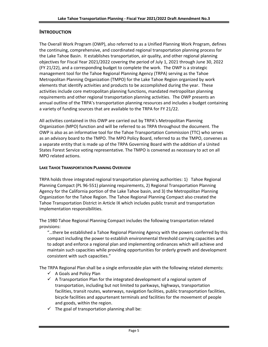# **INTRODUCTION**

The Overall Work Program (OWP), also referred to as a Unified Planning Work Program, defines the continuing, comprehensive, and coordinated regional transportation planning process for the Lake Tahoe Basin. It establishes transportation, air quality, and other regional planning objectives for Fiscal Year 2021/2022 covering the period of July 1, 2021 through June 30, 2022 (FY 21/22), and a corresponding budget to complete the work. The OWP is a strategic management tool for the Tahoe Regional Planning Agency (TRPA) serving as the Tahoe Metropolitan Planning Organization (TMPO) for the Lake Tahoe Region organized by work elements that identify activities and products to be accomplished during the year. These activities include core metropolitan planning functions, mandated metropolitan planning requirements and other regional transportation planning activities. The OWP presents an annual outline of the TRPA's transportation planning resources and includes a budget containing a variety of funding sources that are available to the TRPA for FY 21/22.

All activities contained in this OWP are carried out by TRPA's Metropolitan Planning Organization (MPO) function and will be referred to as TRPA throughout the document. The OWP is also as an informative tool for the Tahoe Transportation Commission (TTC) who serves as an advisory board to the TMPO. The MPO Policy Board, referred to as the TMPO, convenes as a separate entity that is made up of the TRPA Governing Board with the addition of a United States Forest Service voting representative. The TMPO is convened as necessary to act on all MPO related actions.

### **LAKE TAHOE TRANSPORTATION PLANNING OVERVIEW**

TRPA holds three integrated regional transportation planning authorities: 1) Tahoe Regional Planning Compact (PL 96-551) planning requirements, 2) Regional Transportation Planning Agency for the California portion of the Lake Tahoe basin, and 3) the Metropolitan Planning Organization for the Tahoe Region. The Tahoe Regional Planning Compact also created the Tahoe Transportation District in Article IX which includes public transit and transportation implementation responsibilities.

The 1980 Tahoe Regional Planning Compact includes the following transportation related provisions:

"…there be established a Tahoe Regional Planning Agency with the powers conferred by this compact including the power to establish environmental threshold carrying capacities and to adopt and enforce a regional plan and implementing ordinances which will achieve and maintain such capacities while providing opportunities for orderly growth and development consistent with such capacities."

The TRPA Regional Plan shall be a single enforceable plan with the following related elements:

- $\checkmark$  A Goals and Policy Plan
- $\checkmark$  A Transportation Plan for the integrated development of a regional system of transportation, including but not limited to parkways, highways, transportation facilities, transit routes, waterways, navigation facilities, public transportation facilities, bicycle facilities and appurtenant terminals and facilities for the movement of people and goods, within the region.
- $\checkmark$  The goal of transportation planning shall be: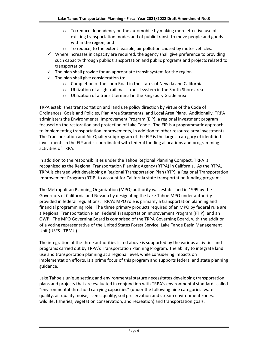- $\circ$  To reduce dependency on the automobile by making more effective use of existing transportation modes and of public transit to move people and goods within the region; and
- o To reduce, to the extent feasible, air pollution caused by motor vehicles.
- $\checkmark$  Where increases in capacity are required, the agency shall give preference to providing such capacity through public transportation and public programs and projects related to transportation.
- $\checkmark$  The plan shall provide for an appropriate transit system for the region.
- $\checkmark$  The plan shall give consideration to:
	- o Completion of the Loop Road in the states of Nevada and California
	- o Utilization of a light rail mass transit system in the South Shore area
	- o Utilization of a transit terminal in the Kingsbury Grade area

TRPA establishes transportation and land use policy direction by virtue of the Code of Ordinances, Goals and Policies, Plan Area Statements, and Local Area Plans. Additionally, TRPA administers the Environmental Improvement Program (EIP), a regional investment program focused on the restoration and protection of Lake Tahoe. The EIP is a programmatic approach to implementing transportation improvements, in addition to other resource area investments. The Transportation and Air Quality subprogram of the EIP is the largest category of identified investments in the EIP and is coordinated with federal funding allocations and programming activities of TRPA.

In addition to the responsibilities under the Tahoe Regional Planning Compact, TRPA is recognized as the Regional Transportation Planning Agency (RTPA) in California. As the RTPA, TRPA is charged with developing a Regional Transportation Plan (RTP), a Regional Transportation Improvement Program (RTIP) to account for California state transportation funding programs.

The Metropolitan Planning Organization (MPO) authority was established in 1999 by the Governors of California and Nevada by designating the Lake Tahoe MPO under authority provided in federal regulations. TRPA's MPO role is primarily a transportation planning and financial programming role. The three primary products required of an MPO by federal rule are a Regional Transportation Plan, Federal Transportation Improvement Program (FTIP), and an OWP. The MPO Governing Board is comprised of the TRPA Governing Board, with the addition of a voting representative of the United States Forest Service, Lake Tahoe Basin Management Unit (USFS-LTBMU).

The integration of the three authorities listed above is supported by the various activities and programs carried out by TRPA's Transportation Planning Program. The ability to integrate land use and transportation planning at a regional level, while considering impacts on implementation efforts, is a prime focus of this program and supports federal and state planning guidance.

Lake Tahoe's unique setting and environmental stature necessitates developing transportation plans and projects that are evaluated in conjunction with TRPA's environmental standards called "environmental threshold carrying capacities" (under the following nine categories: water quality, air quality, noise, scenic quality, soil preservation and stream environment zones, wildlife, fisheries, vegetation conservation, and recreation) and transportation goals.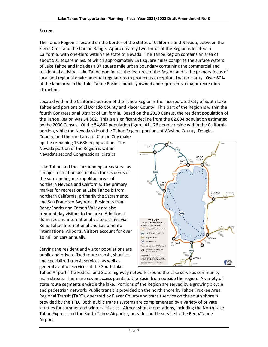### **SETTING**

The Tahoe Region is located on the border of the states of California and Nevada, between the Sierra Crest and the Carson Range. Approximately two-thirds of the Region is located in California, with one-third within the state of Nevada. The Tahoe Region contains an area of about 501 square miles, of which approximately 191 square miles comprise the surface waters of Lake Tahoe and includes a 37 square mile urban boundary containing the commercial and residential activity. Lake Tahoe dominates the features of the Region and is the primary focus of local and regional environmental regulations to protect its exceptional water clarity. Over 80% of the land area in the Lake Tahoe Basin is publicly owned and represents a major recreation attraction.

Located within the California portion of the Tahoe Region is the incorporated City of South Lake Tahoe and portions of El Dorado County and Placer County. This part of the Region is within the fourth Congressional District of California. Based on the 2010 Census, the resident population of the Tahoe Region was 54,862. This is a significant decline from the 62,894 population estimated by the 2000 Census. Of the 54,862 population figure, 41,176 people reside within the California portion, while the Nevada side of the Tahoe Region, portions of Washoe County, Douglas

County, and the rural area of Carson City make up the remaining 13,686 in population. The Nevada portion of the Region is within Nevada's second Congressional district.

Lake Tahoe and the surrounding areas serve as a major recreation destination for residents of the surrounding metropolitan areas of northern Nevada and California. The primary market for recreation at Lake Tahoe is from northern California, primarily the Sacramento and San Francisco Bay Area. Residents from Reno/Sparks and Carson Valley are also frequent day visitors to the area. Additional domestic and international visitors arrive via Reno Tahoe International and Sacramento International Airports. Visitors account for over 10 million cars annually.

Serving the resident and visitor populations are public and private fixed route transit, shuttles, and specialized transit services, as well as general aviation services at the South Lake



Tahoe Airport. The Federal and State highway network around the Lake serve as community main streets. There are seven access points to the Basin from outside the region. A variety of state route segments encircle the lake. Portions of the Region are served by a growing bicycle and pedestrian network. Public transit is provided on the north shore by Tahoe Truckee Area Regional Transit (TART), operated by Placer County and transit service on the south shore is provided by the TTD. Both public transit systems are complemented by a variety of private shuttles for summer and winter activities. Airport shuttle operations, including the North Lake Tahoe Express and the South Tahoe Airporter, provide shuttle service to the Reno/Tahoe Airport.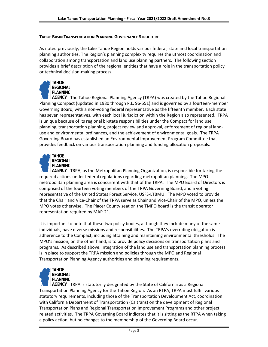### **TAHOE BASIN TRANSPORTATION PLANNING GOVERNANCE STRUCTURE**

As noted previously, the Lake Tahoe Region holds various federal, state and local transportation planning authorities. The Region's planning complexity requires the utmost coordination and collaboration among transportation and land use planning partners. The following section provides a brief description of the regional entities that have a role in the transportation policy or technical decision-making process.



AGENCY The Tahoe Regional Planning Agency (TRPA) was created by the Tahoe Regional Planning Compact (updated in 1980 through P.L. 96-551) and is governed by a fourteen-member Governing Board, with a non-voting federal representative as the fifteenth member. Each state has seven representatives, with each local jurisdiction within the Region also represented. TRPA is unique because of its regional bi-state responsibilities under the Compact for land use planning, transportation planning, project review and approval, enforcement of regional landuse and environmental ordinances, and the achievement of environmental goals. The TRPA Governing Board has established an Environmental Improvement Program Committee that provides feedback on various transportation planning and funding allocation proposals.



**I AGENCY** TRPA, as the Metropolitan Planning Organization, is responsible for taking the required actions under federal regulations regarding metropolitan planning. The MPO metropolitan planning area is concurrent with that of the TRPA. The MPO Board of Directors is comprised of the fourteen voting members of the TRPA Governing Board, and a voting representative of the United States Forest Service, USFS-LTBMU. The MPO voted to provide that the Chair and Vice-Chair of the TRPA serve as Chair and Vice-Chair of the MPO, unless the MPO votes otherwise. The Placer County seat on the TMPO board is the transit operator representation required by MAP-21.

It is important to note that these two policy bodies, although they include many of the same individuals, have diverse missions and responsibilities. The TRPA's overriding obligation is adherence to the Compact, including attaining and maintaining environmental thresholds. The MPO's mission, on the other hand, is to provide policy decisions on transportation plans and programs. As described above, integration of the land use and transportation planning process is in place to support the TRPA mission and policies through the MPO and Regional Transportation Planning Agency authorities and planning requirements.



**AGENCY** TRPA is statutorily designated by the State of California as a Regional Transportation Planning Agency for the Tahoe Region. As an RTPA, TRPA must fulfill various statutory requirements, including those of the Transportation Development Act, coordination with California Department of Transportation (Caltrans) on the development of Regional Transportation Plans and Regional Transportation Improvement Programs and other project related activities. The TRPA Governing Board indicates that it is sitting as the RTPA when taking a policy action, but no changes to the membership of the Governing Board occur.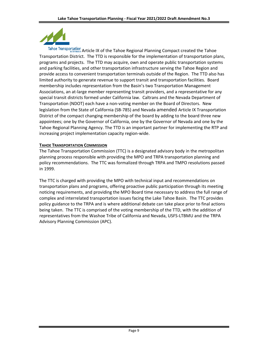

Tahoe Transportation Article IX of the Tahoe Regional Planning Compact created the Tahoe Transportation District. The TTD is responsible for the implementation of transportation plans, programs and projects. The TTD may acquire, own and operate public transportation systems and parking facilities, and other transportation infrastructure serving the Tahoe Region and provide access to convenient transportation terminals outside of the Region. The TTD also has limited authority to generate revenue to support transit and transportation facilities. Board membership includes representation from the Basin's two Transportation Management Associations, an at-large member representing transit providers, and a representative for any special transit districts formed under California law. Caltrans and the Nevada Department of Transportation (NDOT) each have a non-voting member on the Board of Directors. New legislation from the State of California (SB-785) and Nevada amended Article IX Transportation District of the compact changing membership of the board by adding to the board three new appointees; one by the Governor of California, one by the Governor of Nevada and one by the Tahoe Regional Planning Agency. The TTD is an important partner for implementing the RTP and increasing project implementation capacity region-wide.

### **TAHOE TRANSPORTATION COMMISSION**

The Tahoe Transportation Commission (TTC) is a designated advisory body in the metropolitan planning process responsible with providing the MPO and TRPA transportation planning and policy recommendations. The TTC was formalized through TRPA and TMPO resolutions passed in 1999.

The TTC is charged with providing the MPO with technical input and recommendations on transportation plans and programs, offering proactive public participation through its meeting noticing requirements, and providing the MPO Board time necessary to address the full range of complex and interrelated transportation issues facing the Lake Tahoe Basin. The TTC provides policy guidance to the TRPA and is where additional debate can take place prior to final actions being taken. The TTC is comprised of the voting membership of the TTD, with the addition of representatives from the Washoe Tribe of California and Nevada, USFS-LTBMU and the TRPA Advisory Planning Commission (APC).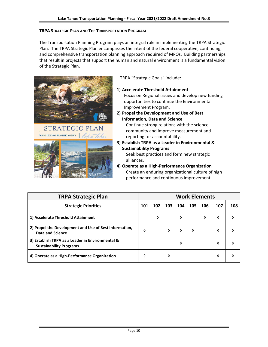### **TRPA STRATEGIC PLAN AND THE TRANSPORTATION PROGRAM**

The Transportation Planning Program plays an integral role in implementing the TRPA Strategic Plan. The TRPA Strategic Plan encompasses the intent of the federal cooperative, continuing, and comprehensive transportation planning approach required of MPOs. Building partnerships that result in projects that support the human and natural environment is a fundamental vision of the Strategic Plan.





TRPA "Strategic Goals" include:

**1) Accelerate Threshold Attainment**

Focus on Regional issues and develop new funding opportunities to continue the Environmental Improvement Program.

**2) Propel the Development and Use of Best Information, Data and Science** Continue strong relations with the science

community and improve measurement and reporting for accountability.

**3) Establish TRPA as a Leader in Environmental & Sustainability Programs**

Seek best practices and form new strategic alliances.

**4) Operate as a High-Performance Organization** Create an enduring organizational culture of high performance and continuous improvement.

| <b>TRPA Strategic Plan</b>                                                         | <b>Work Elements</b> |     |     |     |     |     |     |     |
|------------------------------------------------------------------------------------|----------------------|-----|-----|-----|-----|-----|-----|-----|
| <b>Strategic Priorities</b>                                                        | 101                  | 102 | 103 | 104 | 105 | 106 | 107 | 108 |
| 1) Accelerate Threshold Attainment                                                 |                      | ◊   |     | ♦   |     | 0   | ♦   | ♦   |
| 2) Propel the Development and Use of Best Information,<br><b>Data and Science</b>  | O                    |     | ♦   | ♦   | ◊   |     | ♦   | ◊   |
| 3) Establish TRPA as a Leader in Environmental &<br><b>Sustainability Programs</b> |                      |     |     | ♦   |     |     | ♦   | ◊   |
| 4) Operate as a High-Performance Organization                                      | O                    |     | ♦   |     |     |     | ♦   | ◊   |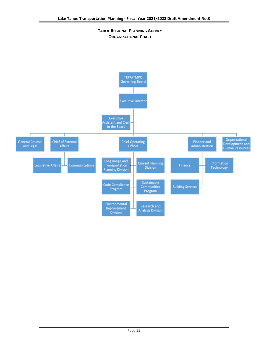**TAHOE REGIONAL PLANNING AGENCY ORGANIZATIONAL CHART**

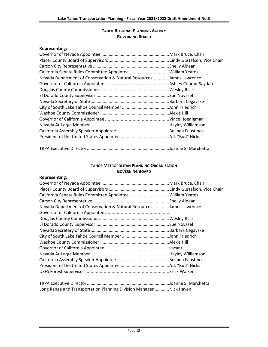### **TAHOE REGIONAL PLANNING AGENCY GOVERNING BOARD**

# **Representing:**

| Nevada Department of Conservation & Natural Resources James Lawrence |  |
|----------------------------------------------------------------------|--|
|                                                                      |  |
|                                                                      |  |
|                                                                      |  |
|                                                                      |  |
|                                                                      |  |
|                                                                      |  |
|                                                                      |  |
|                                                                      |  |
|                                                                      |  |
|                                                                      |  |
|                                                                      |  |

|--|--|--|

### **TAHOE METROPOLITAN PLANNING ORGANIZATION GOVERNING BOARD**

### **Representing:**

| Nevada Department of Conservation & Natural Resources James Lawrence |  |
|----------------------------------------------------------------------|--|
|                                                                      |  |
|                                                                      |  |
|                                                                      |  |
|                                                                      |  |
|                                                                      |  |
|                                                                      |  |
|                                                                      |  |
|                                                                      |  |
|                                                                      |  |
|                                                                      |  |
|                                                                      |  |
|                                                                      |  |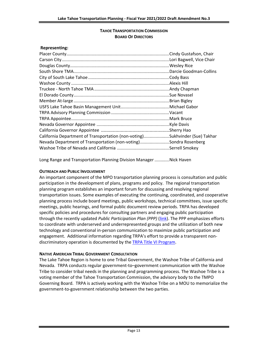### **TAHOE TRANSPORTATION COMMISSION BOARD OF DIRECTORS**

| <b>Representing:</b>                                                        |  |
|-----------------------------------------------------------------------------|--|
|                                                                             |  |
|                                                                             |  |
|                                                                             |  |
|                                                                             |  |
|                                                                             |  |
|                                                                             |  |
|                                                                             |  |
|                                                                             |  |
|                                                                             |  |
|                                                                             |  |
|                                                                             |  |
|                                                                             |  |
|                                                                             |  |
|                                                                             |  |
| California Department of Transportation (non-voting)Sukhvinder (Sue) Takhar |  |
| Nevada Department of Transportation (non-voting)Sondra Rosenberg            |  |
|                                                                             |  |
|                                                                             |  |

Long Range and Transportation Planning Division Manager ............Nick Haven

### **OUTREACH AND PUBLIC INVOLVEMENT**

An important component of the MPO transportation planning process is consultation and public participation in the development of plans, programs and policy. The regional transportation planning program establishes an important forum for discussing and resolving regional transportation issues. Some examples of executing the continuing, coordinated, and cooperative planning process include board meetings, public workshops, technical committees, issue specific meetings, public hearings, and formal public document review periods. TRPA has developed specific policies and procedures for consulting partners and engaging public participation through the recently updated *Public Participation Plan (PPP)* [\(link\)](https://www.trpa.gov/wp-content/uploads/documents/archive/2/2019-Public-Participation-Plan-FINAL.pdf). The PPP emphasizes efforts to coordinate with underserved and underrepresented groups and the utilization of both new technology and conventional in-person communication to maximize public participation and engagement. Additional information regarding TRPA's effort to provide a transparent nondiscriminatory operation is documented by th[e TRPA Title VI Program.](https://www.trpa.gov/transportation/title-vi/)

### **NATIVE AMERICAN TRIBAL GOVERNMENT CONSULTATION**

The Lake Tahoe Region is home to one Tribal Government, the Washoe Tribe of California and Nevada. TRPA conducts regular government-to–government communication with the Washoe Tribe to consider tribal needs in the planning and programming process. The Washoe Tribe is a voting member of the Tahoe Transportation Commission, the advisory body to the TMPO Governing Board. TRPA is actively working with the Washoe Tribe on a MOU to memorialize the government-to-government relationship between the two parties.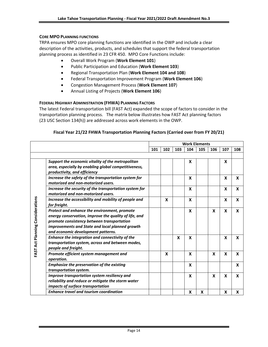### **CORE MPO PLANNING FUNCTIONS**

TRPA ensures MPO core planning functions are identified in the OWP and include a clear description of the activities, products, and schedules that support the federal transportation planning process as identified in 23 CFR 450. MPO Core Functions include:

- Overall Work Program (**Work Element 101**)
- Public Participation and Education (**Work Element 103**)
- Regional Transportation Plan (**Work Element 104 and 108**)
- Federal Transportation Improvement Program (**Work Element 106**)
- Congestion Management Process (**Work Element 107**)
- Annual Listing of Projects (**Work Element 106**)

### **FEDERAL HIGHWAY ADMINISTRATION (FHWA) PLANNING FACTORS**

The latest Federal transportation bill (FAST Act) expanded the scope of factors to consider in the transportation planning process. The matrix below illustrates how FAST Act planning factors (23 USC Section 134(h)) are addressed across work elements in the OWP.

### **Fiscal Year 21/22 FHWA Transportation Planning Factors (Carried over from FY 20/21)**

|                                  |                                                                                                                                                                                                        | <b>Work Elements</b>                   |                           |   |     |     |   |   |   |
|----------------------------------|--------------------------------------------------------------------------------------------------------------------------------------------------------------------------------------------------------|----------------------------------------|---------------------------|---|-----|-----|---|---|---|
|                                  |                                                                                                                                                                                                        | 104<br>105<br>101<br>102<br>103<br>106 |                           |   | 107 | 108 |   |   |   |
|                                  |                                                                                                                                                                                                        |                                        |                           |   |     |     |   |   |   |
|                                  | Support the economic vitality of the metropolitan                                                                                                                                                      |                                        |                           |   | X   |     |   | X |   |
|                                  | area, especially by enabling global competitiveness,<br>productivity, and efficiency                                                                                                                   |                                        |                           |   |     |     |   |   |   |
|                                  | Increase the safety of the transportation system for<br>motorized and non-motorized users.                                                                                                             |                                        |                           |   | X   |     |   | X | X |
|                                  | Increase the security of the transportation system for<br>motorized and non-motorized users.                                                                                                           |                                        |                           |   | X   |     |   | X | X |
|                                  | Increase the accessibility and mobility of people and<br>for freight.                                                                                                                                  |                                        | $\boldsymbol{\mathsf{x}}$ |   | X   |     |   | X | X |
| FAST Act Planning Considerations | Protect and enhance the environment, promote<br>energy conservation, improve the quality of life, and<br>promote consistency between transportation<br>improvements and State and local planned growth |                                        |                           |   | X   |     | X | X | X |
|                                  | and economic development patterns.                                                                                                                                                                     |                                        |                           |   |     |     |   |   |   |
|                                  | Enhance the integration and connectivity of the<br>transportation system, across and between modes,<br>people and freight.                                                                             |                                        |                           | X | X   |     |   | X | X |
|                                  | Promote efficient system management and<br>operation.                                                                                                                                                  |                                        | X                         |   | X   |     | X | X | X |
|                                  | <b>Emphasize the preservation of the existing</b><br>transportation system.                                                                                                                            |                                        |                           |   | X   |     |   |   | X |
|                                  | Improve transportation system resiliency and<br>reliability and reduce or mitigate the storm water<br>impacts of surface transportation                                                                |                                        |                           |   | X   |     | X | X | X |
|                                  | <b>Enhance travel and tourism coordination</b>                                                                                                                                                         |                                        |                           |   | X   | x   |   | X | X |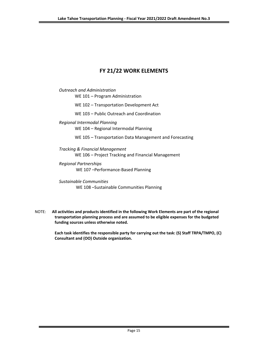# **FY 21/22 WORK ELEMENTS**

*Outreach and Administration* WE 101 – Program Administration

WE 102 – Transportation Development Act

WE 103 – Public Outreach and Coordination

*Regional Intermodal Planning* WE 104 – Regional Intermodal Planning

WE 105 – Transportation Data Management and Forecasting

*Tracking & Financial Management* WE 106 – Project Tracking and Financial Management

*Regional Partnerships* WE 107 –Performance-Based Planning

*Sustainable Communities* WE 108 –Sustainable Communities Planning

 NOTE: **All activities and products identified in the following Work Elements are part of the regional transportation planning process and are assumed to be eligible expenses for the budgeted funding sources unless otherwise noted.**

> **Each task identifies the responsible party for carrying out the task: (S) Staff TRPA/TMPO, (C) Consultant and (OO) Outside organization.**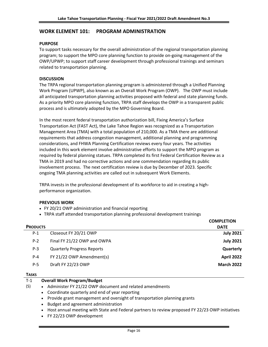# **WORK ELEMENT 101: PROGRAM ADMINISTRATION**

### **PURPOSE**

To support tasks necessary for the overall administration of the regional transportation planning program; to support the MPO core planning function to provide on-going management of the OWP/UPWP; to support staff career development through professional trainings and seminars related to transportation planning.

### **DISCUSSION**

The TRPA regional transportation planning program is administered through a Unified Planning Work Program (UPWP), also known as an Overall Work Program (OWP). The OWP must include all anticipated transportation planning activities proposed with federal and state planning funds. As a priority MPO core planning function, TRPA staff develops the OWP in a transparent public process and is ultimately adopted by the MPO Governing Board.

In the most recent federal transportation authorization bill, Fixing America's Surface Transportation Act (FAST Act), the Lake Tahoe Region was recognized as a Transportation Management Area (TMA) with a total population of 210,000. As a TMA there are additional requirements that address congestion management, additional planning and programming considerations, and FHWA Planning Certification reviews every four years. The activities included in this work element involve administrative efforts to support the MPO program as required by federal planning statues. TRPA completed its first Federal Certification Review as a TMA in 2019 and had no corrective actions and one commendation regarding its public involvement process. The next certification review is due by December of 2023. Specific ongoing TMA planning activities are called out in subsequent Work Elements.

TRPA invests in the professional development of its workforce to aid in creating a highperformance organization.

### **PREVIOUS WORK**

- FY 20/21 OWP administration and financial reporting
- TRPA staff attended transportation planning professional development trainings

| <b>PRODUCTS</b> |                                   | <b>COMPLETION</b><br><b>DATE</b> |
|-----------------|-----------------------------------|----------------------------------|
| $P-1$           | Closeout FY 20/21 OWP             | <b>July 2021</b>                 |
| $P-2$           | Final FY 21/22 OWP and OWPA       | <b>July 2021</b>                 |
| $P-3$           | <b>Quarterly Progress Reports</b> | Quarterly                        |
| $P - 4$         | FY 21/22 OWP Amendment(s)         | <b>April 2022</b>                |
| $P-5$           | Draft FY 22/23 OWP                | <b>March 2022</b>                |

### **TASKS**

(S)

#### T-1 **Overall Work Program/Budget**

- Administer FY 21/22 OWP document and related amendments
	- Coordinate quarterly and end of year reporting
	- Provide grant management and oversight of transportation planning grants
	- Budget and agreement administration
	- Host annual meeting with State and Federal partners to review proposed FY 22/23 OWP initiatives
	- FY 22/23 OWP development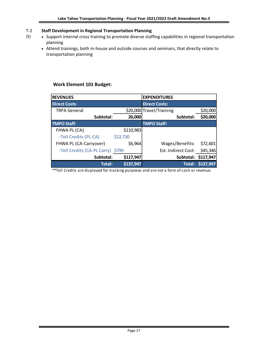#### T-2 **Staff Development in Regional Transportation Planning**

(S)

- Support internal cross training to promote diverse staffing capabilities in regional transportation planning
	- Attend trainings, both in-house and outside courses and seminars, that directly relate to transportation planning

# **Work Element 101 Budget:**

| <b>REVENUES</b>             |           | <b>EXPENDITURES</b>      |                     |
|-----------------------------|-----------|--------------------------|---------------------|
| <b>Direct Costs:</b>        |           | <b>Direct Costs:</b>     |                     |
| <b>TRPA General</b>         |           | \$20,000 Travel/Training | \$20,000            |
| Subtotal:                   | 20,000    | Subtotal:                | \$20,000            |
| <b>TMPO Staff:</b>          |           | <b>TMPO Staff:</b>       |                     |
| FHWA PL (CA)                | \$110,983 |                          |                     |
| -Toll Credits (PL-CA)       | \$12,730  |                          |                     |
| FHWA PL (CA-Carryover)      | \$6,964   | Wages/Benefits:          | \$72,601            |
| -Toll Credits (CA-PL Carry) | \$799     | Est. Indirect Cost:      | \$45,346            |
| Subtotal:                   | \$117,947 |                          | Subtotal: \$117,947 |
| <b>Total:</b>               | \$137,947 | Total:                   | \$137,947           |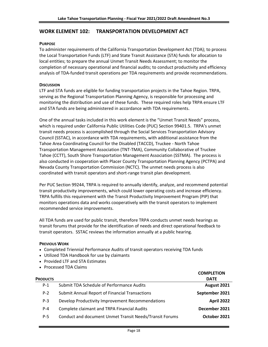# **WORK ELEMENT 102: TRANSPORTATION DEVELOPMENT ACT**

### **PURPOSE**

To administer requirements of the California Transportation Development Act (TDA); to process the Local Transportation Funds (LTF) and State Transit Assistance (STA) funds for allocation to local entities; to prepare the annual Unmet Transit Needs Assessment; to monitor the completion of necessary operational and financial audits; to conduct productivity and efficiency analysis of TDA-funded transit operations per TDA requirements and provide recommendations.

### **DISCUSSION**

LTF and STA funds are eligible for funding transportation projects in the Tahoe Region. TRPA, serving as the Regional Transportation Planning Agency, is responsible for processing and monitoring the distribution and use of these funds. These required roles help TRPA ensure LTF and STA funds are being administered in accordance with TDA requirements.

One of the annual tasks included in this work element is the "Unmet Transit Needs" process, which is required under California Public Utilities Code (PUC) Section 99401.5. TRPA's unmet transit needs process is accomplished through the Social Services Transportation Advisory Council (SSTAC), in accordance with TDA requirements, with additional assistance from the Tahoe Area Coordinating Council for the Disabled (TACCD), Truckee - North Tahoe Transportation Management Association (TNT-TMA), Community Collaborative of Truckee Tahoe (CCTT), South Shore Transportation Management Association (SSTMA). The process is also conducted in cooperation with Placer County Transportation Planning Agency (PCTPA) and Nevada County Transportation Commission (NCTC). The unmet needs process is also coordinated with transit operators and short-range transit plan development.

Per PUC Section 99244, TRPA is required to annually identify, analyze, and recommend potential transit productivity improvements, which could lower operating costs and increase efficiency. TRPA fulfills this requirement with the Transit Productivity Improvement Program (PIP) that monitors operations data and works cooperatively with the transit operators to implement recommended service improvements.

All TDA funds are used for public transit, therefore TRPA conducts unmet needs hearings as transit forums that provide for the identification of needs and direct operational feedback to transit operators. SSTAC reviews the information annually at a public hearing.

### **PREVIOUS WORK**

- Completed Triennial Performance Audits of transit operators receiving TDA funds
- Utilized TDA Handbook for use by claimants
- Provided LTF and STA Estimates
- Processed TDA Claims

| <b>PRODUCTS</b> |                                                         | <b>COMPLETION</b><br><b>DATE</b> |
|-----------------|---------------------------------------------------------|----------------------------------|
| $P-1$           | Submit TDA Schedule of Performance Audits               | August 2021                      |
| $P-2$           | <b>Submit Annual Report of Financial Transactions</b>   | September 2021                   |
| $P-3$           | Develop Productivity Improvement Recommendations        | <b>April 2022</b>                |
| P-4             | Complete claimant and TRPA Financial Audits             | December 2021                    |
| $P-5$           | Conduct and document Unmet Transit Needs/Transit Forums | October 2021                     |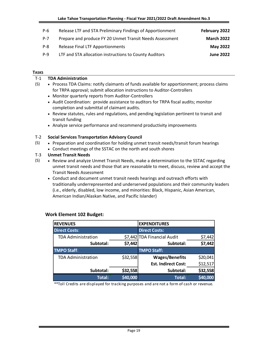| $P-6$   | Release LTF and STA Preliminary Findings of Apportionment | February 2022     |
|---------|-----------------------------------------------------------|-------------------|
| P-7     | Prepare and produce FY 20 Unmet Transit Needs Assessment  | <b>March 2022</b> |
| $P - 8$ | <b>Release Final LTF Apportionments</b>                   | May 2022          |
| P-9     | LTF and STA allocation instructions to County Auditors    | <b>June 2022</b>  |

### **TASKS**

(S)

#### T-1 **TDA Administration**

- (S) • Process TDA Claims: notify claimants of funds available for apportionment; process claims for TRPA approval; submit allocation instructions to Auditor-Controllers
	- Monitor quarterly reports from Auditor-Controllers
	- Audit Coordination: provide assistance to auditors for TRPA fiscal audits; monitor completion and submittal of claimant audits.
	- Review statutes, rules and regulations, and pending legislation pertinent to transit and transit funding
	- Analyze service performance and recommend productivity improvements

#### T-2 **Social Services Transportation Advisory Council**

- Preparation and coordination for holding unmet transit needs/transit forum hearings
	- Conduct meetings of the SSTAC on the north and south shores
- T-3 **Unmet Transit Needs**
- (S) • Review and analyze Unmet Transit Needs, make a determination to the SSTAC regarding unmet transit needs and those that are reasonable to meet, discuss, review and accept the Transit Needs Assessment
	- Conduct and document unmet transit needs hearings and outreach efforts with traditionally underrepresented and underserved populations and their community leaders (i.e., elderly, disabled, low income, and minorities: Black, Hispanic, Asian American, American Indian/Alaskan Native, and Pacific Islander)

| <b>REVENUES</b>           |          | <b>EXPENDITURES</b>         |          |
|---------------------------|----------|-----------------------------|----------|
| <b>Direct Costs:</b>      |          | <b>Direct Costs:</b>        |          |
| <b>TDA Administration</b> |          | \$7,442 TDA Financial Audit | \$7,442  |
| Subtotal:                 | \$7,442  | Subtotal:                   | \$7,442  |
| <b>TMPO Staff:</b>        |          | <b>TMPO Staff:</b>          |          |
| <b>TDA Administration</b> | \$32,558 | <b>Wages/Benefits</b>       | \$20,041 |
|                           |          | <b>Est. Indirect Cost:</b>  | \$12,517 |
| Subtotal:                 | \$32,558 | Subtotal:                   | \$32,558 |
| <b>Total:</b>             | \$40,000 | <b>Total:</b>               | \$40,000 |

### **Work Element 102 Budget:**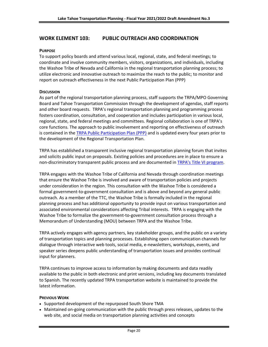# **WORK ELEMENT 103: PUBLIC OUTREACH AND COORDINATION**

### **PURPOSE**

To support policy boards and attend various local, regional, state, and federal meetings; to coordinate and involve community members, visitors, organizations, and individuals, including the Washoe Tribe of Nevada and California in the regional transportation planning process; to utilize electronic and innovative outreach to maximize the reach to the public; to monitor and report on outreach effectiveness in the next Public Participation Plan (PPP)

### **DISCUSSION**

As part of the regional transportation planning process, staff supports the TRPA/MPO Governing Board and Tahoe Transportation Commission through the development of agendas, staff reports and other board requests. TRPA's regional transportation planning and programming process fosters coordination, consultation, and cooperation and includes participation in various local, regional, state, and federal meetings and committees. Regional collaboration is one of TRPA's core functions. The approach to public involvement and reporting on effectiveness of outreach is contained in the [TRPA Public Participation Plan \(PPP\)](https://www.trpa.gov/wp-content/uploads/documents/archive/2/2019-Public-Participation-Plan-FINAL.pdf) and is updated every four years prior to the development of the Regional Transportation Plan.

TRPA has established a transparent inclusive regional transportation planning forum that invites and solicits public input on proposals. Existing policies and procedures are in place to ensure a non-discriminatory transparent public process and are documented in [TRPA's Title VI program](https://www.trpa.gov/transportation/title-vi/).

TRPA engages with the Washoe Tribe of California and Nevada through coordination meetings that ensure the Washoe Tribe is involved and aware of transportation policies and projects under consideration in the region. This consultation with the Washoe Tribe is considered a formal government-to-government consultation and is above and beyond any general public outreach. As a member of the TTC, the Washoe Tribe is formally included in the regional planning process and has additional opportunity to provide input on various transportation and associated environmental considerations affecting Tribal interests. TRPA is engaging with the Washoe Tribe to formalize the government-to-government consultation process through a Memorandum of Understanding (MOU) between TRPA and the Washoe Tribe.

TRPA actively engages with agency partners, key stakeholder groups, and the public on a variety of transportation topics and planning processes. Establishing open communication channels for dialogue through interactive web tools, social media, e-newsletters, workshops, events, and speaker series deepens public understanding of transportation issues and provides continual input for planners.

TRPA continues to improve access to information by making documents and data readily available to the public in both electronic and print versions, including key documents translated to Spanish. The recently updated TRPA transportation website is maintained to provide the latest information.

### **PREVIOUS WORK**

- Supported development of the repurposed South Shore TMA
- Maintained on-going communication with the public through press releases, updates to the web site, and social media on transportation planning activities and concepts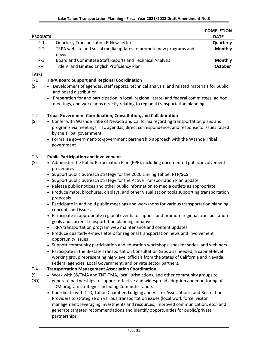|                 |                                                                           | <b>COMPLETION</b> |
|-----------------|---------------------------------------------------------------------------|-------------------|
| <b>PRODUCTS</b> |                                                                           | <b>DATE</b>       |
| $P-1$           | <b>Quarterly Transportation E-Newsletter</b>                              | Quarterly         |
| $P-2$           | TRPA website and social media updates to promote new programs and<br>news | <b>Monthly</b>    |
| $P-3$           | Board and Committee Staff Reports and Technical Analysis                  | <b>Monthly</b>    |
| $P - 4$         | Title VI and Limited English Proficiency Plan                             | October           |
| .               |                                                                           |                   |

**TASKS**

(S,

#### T-1 **TRPA Board Support and Regional Coordination**

- (S) • Development of agendas, staff reports, technical analysis, and related materials for public and board distribution
	- Preparation for and participation in local, regional, state, and federal committees, ad hoc meetings, and workshops directly relating to regional transportation planning

#### T-2 **Tribal Government Coordination, Consultation, and Collaboration**

- $(S)$ • Confer with Washoe Tribe of Nevada and California regarding transportation plans and programs via meetings, TTC agendas, direct correspondence, and response to issues raised by the Tribal government.
	- Formalize government-to-government partnership approach with the Washoe Tribal government

#### T-3 **Public Participation and Involvement**

- (S) • Administer the Public Participation Plan (PPP), including documented public involvement procedures
	- Support public outreach strategy for the 2020 Linking Tahoe: RTP/SCS
	- Support public outreach strategy for the Active Transportation Plan update
	- Release public notices and other public information to media outlets as appropriate
	- Produce maps, brochures, displays, and other visualization tools supporting transportation proposals
	- Participate in and hold public meetings and workshops for various transportation planning concepts and issues
	- Participate in appropriate regional events to support and promote regional transportation goals and current transportation planning initiatives
	- TRPA transportation program web maintenance and content updates
	- Produce quarterly e-newsletters for regional transportation news and involvement opportunity issues
	- Support community participation and education workshops, speaker series, and webinars
	- Participate in the Bi-state Transportation Consultation Group as needed, a cabinet-level working group representing high-level officials from the States of California and Nevada, Federal agencies, Local Government, and private sector partners.

#### T-4 **Transportation Management Association Coordination**

- OO) • Work with SS/TMA and TNT-TMA, local jurisdictions, and other community groups to generate partnerships to support effective and widespread adoption and monitoring of TDM program strategies including Commute Tahoe.
	- Coordinate with TTD, Tahoe Chamber, Lodging and Visitor Associations, and Recreation Providers to strategize on various transportation issues (local work force, visitor management, leveraging investments and resources, improved communication, etc.) and generate targeted recommendations and identify opportunities for public/private partnerships.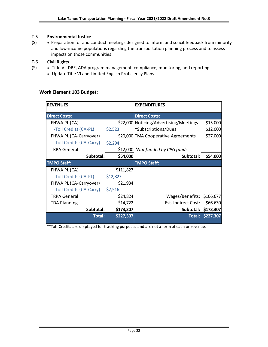#### T-5 **Environmental Justice**

(S) • Preparation for and conduct meetings designed to inform and solicit feedback from minority and low-income populations regarding the transportation planning process and to assess impacts on those communities

#### T-6 **Civil Rights**

- (S) • Title VI, DBE, ADA program management, compliance, monitoring, and reporting
	- Update Title VI and Limited English Proficiency Plans

### **Work Element 103 Budget:**

| <b>REVENUES</b>          |           | <b>EXPENDITURES</b>                    |                  |
|--------------------------|-----------|----------------------------------------|------------------|
| <b>Direct Costs:</b>     |           | <b>Direct Costs:</b>                   |                  |
| FHWA PL (CA)             |           | \$22,000 Noticing/Advertising/Meetings | \$15,000         |
| -Toll Credits (CA-PL)    | \$2,523   | *Subscriptions/Dues                    | \$12,000         |
| FHWA PL (CA-Carryover)   |           | \$20,000 TMA Cooperative Agreements    | \$27,000         |
| -Toll Credits (CA-Carry) | \$2,294   |                                        |                  |
| <b>TRPA General</b>      |           | \$12,000 *Not funded by CPG funds      |                  |
| Subtotal:                | \$54,000  | Subtotal:                              | \$54,000         |
| <b>TMPO Staff:</b>       |           | <b>TMPO Staff:</b>                     |                  |
| FHWA PL (CA)             | \$111,827 |                                        |                  |
| -Toll Credits (CA-PL)    | \$12,827  |                                        |                  |
| FHWA PL (CA-Carryover)   | \$21,934  |                                        |                  |
| -Toll Credits (CA-Carry) | \$2,516   |                                        |                  |
| <b>TRPA General</b>      | \$24,824  | Wages/Benefits: \$106,677              |                  |
| <b>TDA Planning</b>      | \$14,722  | Est. Indirect Cost:                    | \$66,630         |
| Subtotal:                | \$173,307 | Subtotal: \$173,307                    |                  |
| <b>Total:</b>            | \$227,307 |                                        | Total: \$227,307 |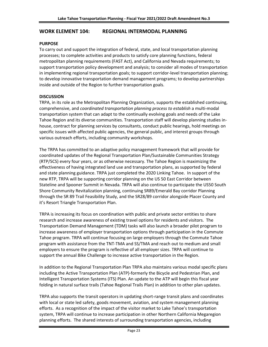### **WORK ELEMENT 104: REGIONAL INTERMODAL PLANNING**

### **PURPOSE**

To carry out and support the integration of federal, state, and local transportation planning processes; to complete activities and products to satisfy core planning functions, federal metropolitan planning requirements (FAST Act), and California and Nevada requirements; to support transportation policy development and analysis; to consider all modes of transportation in implementing regional transportation goals; to support corridor-level transportation planning; to develop innovative transportation demand management programs; to develop partnerships inside and outside of the Region to further transportation goals.

### **DISCUSSION**

TRPA, in its role as the Metropolitan Planning Organization, supports the established continuing, comprehensive, and *coordinated transportation planning process to establish* a multi-modal transportation system that can adapt to the continually evolving goals and needs of the Lake Tahoe Region and its diverse communities. Transportation staff will develop planning studies inhouse, contract for planning services by consultants, conduct public hearings, hold meetings on specific issues with affected public agencies, the general public, and interest groups through various outreach efforts, including community workshops.

The TRPA has committed to an adaptive policy management framework that will provide for coordinated updates of the Regional Transportation Plan/Sustainable Communities Strategy (RTP/SCS) every four years, or as otherwise necessary. The Tahoe Region is maximizing the effectiveness of having integrated land use and transportation plans, as supported by federal and state planning guidance. TRPA just completed the 2020 Linking Tahoe. In support of the new RTP, TRPA will be supporting corridor planning on the US 50 East Corridor between Stateline and Spooner Summit in Nevada. TRPA will also continue to participate the US50 South Shore Community Revitalization planning, continuing SR89/Emerald Bay corridor Planning through the SR 89 Trail Feasibility Study, and the SR28/89 corridor alongside Placer County and it's Resort Triangle Transportation Plan.

TRPA is increasing its focus on coordination with public and private sector entities to share research and increase awareness of existing travel options for residents and visitors. The Transportation Demand Management (TDM) tasks will also launch a broader pilot program to increase awareness of employer transportation options through participation in the Commute Tahoe program. TRPA will continue focusing on large employers through the Commute Tahoe program with assistance from the TNT-TMA and SS/TMA and reach out to medium and small employers to ensure the program is reflective of all employer sizes. TRPA will continue to support the annual Bike Challenge to increase active transportation in the Region.

In addition to the Regional Transportation Plan TRPA also maintains various modal specific plans including the Active Transportation Plan (ATP)-formerly the Bicycle and Pedestrian Plan, and Intelligent Transportation Systems (ITS) Plan. An update to the ATP will begin this fiscal year folding in natural surface trails (Tahoe Regional Trails Plan) in addition to other plan updates.

TRPA also supports the transit operators in updating short-range transit plans and coordinates with local or state led safety, goods movement, aviation, and system management planning efforts. As a recognition of the impact of the visitor market to Lake Tahoe's transportation system, TRPA will continue to increase participation in other Northern California Megaregion planning efforts. The shared interests of surrounding transportation agencies, including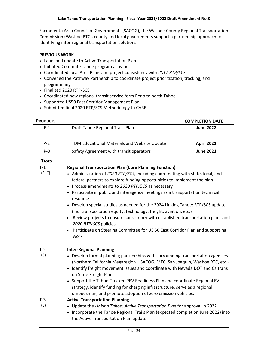Sacramento Area Council of Governments (SACOG), the Washoe County Regional Transportation Commission (Washoe RTC), county and local governments support a partnership approach to identifying inter-regional transportation solutions.

### **PREVIOUS WORK**

- Launched update to Active Transportation Plan
- Initiated Commute Tahoe program activities
- Coordinated local Area Plans and project consistency with *2017 RTP/SCS*
- Convened the Pathway Partnership to coordinate project prioritization, tracking, and programming
- Finalized 2020 RTP/SCS
- Coordinated new regional transit service form Reno to north Tahoe
- Supported US50 East Corridor Management Plan
- Submitted final 2020 RTP/SCS Methodology to CARB

| <b>PRODUCTS</b> |                                                                                                                                                                                                                 | <b>COMPLETION DATE</b> |
|-----------------|-----------------------------------------------------------------------------------------------------------------------------------------------------------------------------------------------------------------|------------------------|
| $P-1$           | Draft Tahoe Regional Trails Plan                                                                                                                                                                                | <b>June 2022</b>       |
| $P-2$           | TDM Educational Materials and Website Update                                                                                                                                                                    | <b>April 2021</b>      |
| $P-3$           | Safety Agreement with transit operators                                                                                                                                                                         | <b>June 2022</b>       |
| <b>TASKS</b>    |                                                                                                                                                                                                                 |                        |
| $T-1$           | <b>Regional Transportation Plan (Core Planning Function)</b>                                                                                                                                                    |                        |
| (S, C)          | • Administration of 2020 RTP/SCS, including coordinating with state, local, and<br>federal partners to explore funding opportunities to implement the plan<br>• Process amendments to 2020 RTP/SCS as necessary |                        |
|                 | • Participate in public and interagency meetings as a transportation technical<br>resource                                                                                                                      |                        |
|                 | • Develop special studies as needed for the 2024 Linking Tahoe: RTP/SCS update<br>(i.e.: transportation equity, technology, freight, aviation, etc.)                                                            |                        |
|                 | Review projects to ensure consistency with established transportation plans and<br>2020 RTP/SCS policies                                                                                                        |                        |
|                 | Participate on Steering Committee for US 50 East Corridor Plan and supporting<br>work                                                                                                                           |                        |
| $T-2$           | <b>Inter-Regional Planning</b>                                                                                                                                                                                  |                        |
| (S)             | • Develop formal planning partnerships with surrounding transportation agencies<br>(Northern California Megaregion - SACOG, MTC, San Joaquin, Washoe RTC, etc.)                                                 |                        |
|                 | • Identify freight movement issues and coordinate with Nevada DOT and Caltrans<br>on State Freight Plans                                                                                                        |                        |
|                 | • Support the Tahoe-Truckee PEV Readiness Plan and coordinate Regional EV<br>strategy, identify funding for charging infrastructure, serve as a regional                                                        |                        |
|                 | ombudsman, and promote adoption of zero emission vehicles.                                                                                                                                                      |                        |
| $T-3$           | <b>Active Transportation Planning</b>                                                                                                                                                                           |                        |
| (S)             | • Update the Linking Tahoe: Active Transportation Plan for approval in 2022<br>• Incorporate the Tahoe Regional Trails Plan (expected completion June 2022) into<br>the Active Transportation Plan update       |                        |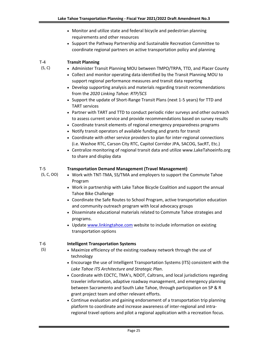- Monitor and utilize state and federal bicycle and pedestrian planning requirements and other resources
- Support the Pathway Partnership and Sustainable Recreation Committee to coordinate regional partners on active transportation policy and planning

#### T-4 **Transit Planning**

(S, C)

- Administer Transit Planning MOU between TMPO/TRPA, TTD, and Placer County
- Collect and monitor operating data identified by the Transit Planning MOU to support regional performance measures and transit data reporting
- Develop supporting analysis and materials regarding transit recommendations from the *2020 Linking Tahoe: RTP/SCS*
- Support the update of Short-Range Transit Plans (next 1-5 years) for TTD and TART services
- Partner with TART and TTD to conduct periodic rider surveys and other outreach to assess current service and provide recommendations based on survey results
- Coordinate transit elements of regional emergency preparedness programs
- Notify transit operators of available funding and grants for transit
- Coordinate with other service providers to plan for inter-regional connections (i.e. Washoe RTC, Carson City RTC, Capitol Corridor JPA, SACOG, SacRT, Etc.)
- Centralize monitoring of regional transit data and utilize www.LakeTahoeinfo.org to share and display data

#### T-5 **Transportation Demand Management (Travel Management)**

(S, C, OO)

(S)

- Work with TNT-TMA, SS/TMA and employers to support the Commute Tahoe Program
- Work in partnership with Lake Tahoe Bicycle Coalition and support the annual Tahoe Bike Challenge
- Coordinate the Safe Routes to School Program, active transportation education and community outreach program with local advocacy groups
- Disseminate educational materials related to Commute Tahoe strategies and programs.
- Update [www.linkingtahoe.com](http://www.linkingtahoe.com/) website to include information on existing transportation options

#### T-6 **Intelligent Transportation Systems**

- Maximize efficiency of the existing roadway network through the use of technology
- Encourage the use of Intelligent Transportation Systems (ITS) consistent with the *Lake Tahoe ITS Architecture and Strategic Plan*.
- Coordinate with EDCTC, TMA's, NDOT, Caltrans, and local jurisdictions regarding traveler information, adaptive roadway management, and emergency planning between Sacramento and South Lake Tahoe, through participation on SP & R grant project team and other relevant efforts.
- Continue evaluation and gaining endorsement of a transportation trip planning platform to coordinate and increase awareness of inter-regional and intraregional travel options and pilot a regional application with a recreation focus.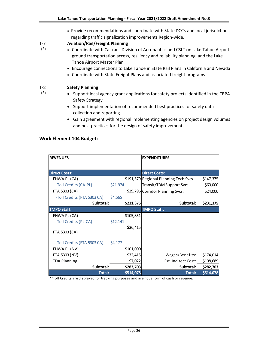• Provide recommendations and coordinate with State DOTs and local jurisdictions regarding traffic signalization improvements Region-wide.

#### T-7 **Aviation/Rail/Freight Planning**

- Coordinate with Caltrans Division of Aeronautics and CSLT on Lake Tahoe Airport ground transportation access, resiliency and reliability planning, and the Lake Tahoe Airport Master Plan
	- Encourage connections to Lake Tahoe in State Rail Plans in California and Nevada
	- Coordinate with State Freight Plans and associated freight programs

#### T-8 **Safety Planning**

(S)

(S)

- Support local agency grant applications for safety projects identified in the TRPA Safety Strategy
- Support implementation of recommended best practices for safety data collection and reporting
- Gain agreement with regional implementing agencies on project design volumes and best practices for the design of safety improvements.

### **Work Element 104 Budget:**

| <b>REVENUES</b>             |          |           | <b>EXPENDITURES</b>                    |           |
|-----------------------------|----------|-----------|----------------------------------------|-----------|
|                             |          |           |                                        |           |
| <b>Direct Costs:</b>        |          |           | <b>Direct Costs:</b>                   |           |
| FHWA PL (CA)                |          |           | \$191,579 Regional Planning Tech Svcs. | \$147,375 |
| -Toll Credits (CA-PL)       | \$21,974 |           | Transit/TDM Support Svcs.              | \$60,000  |
| FTA 5303 (CA)               |          |           | \$39,796 Corridor Planning Svcs.       | \$24,000  |
| -Toll Credits (FTA 5303 CA) | \$4,565  |           |                                        |           |
| Subtotal:                   |          | \$231,375 | Subtotal:                              | \$231,375 |
| <b>TMPO Staff:</b>          |          |           | <b>TMPO Staff:</b>                     |           |
| FHWA PL (CA)                |          | \$105,851 |                                        |           |
| -Toll Credits (PL-CA)       | \$12,141 |           |                                        |           |
| FTA 5303 (CA)               |          | \$36,415  |                                        |           |
| -Toll Credits (FTA 5303 CA) | \$4,177  |           |                                        |           |
| FHWA PL (NV)                |          | \$101,000 |                                        |           |
| FTA 5303 (NV)               |          | \$32,415  | Wages/Benefits:                        | \$174,014 |
| <b>TDA Planning</b>         |          | \$7,022   | Est. Indirect Cost:                    | \$108,689 |
| Subtotal:                   |          | \$282,703 | Subtotal:                              | \$282,703 |
| <b>Total:</b>               |          | \$514,078 | <b>Total:</b>                          | \$514,078 |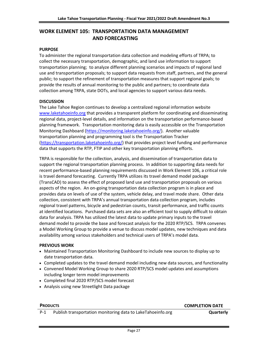# **WORK ELEMENT 105: TRANSPORTATION DATA MANAGEMENT AND FORECASTING**

### **PURPOSE**

To administer the regional transportation data collection and modeling efforts of TRPA; to collect the necessary transportation, demographic, and land use information to support transportation planning; to analyze different planning scenarios and impacts of regional land use and transportation proposals; to support data requests from staff, partners, and the general public; to support the refinement of transportation measures that support regional goals; to provide the results of annual monitoring to the public and partners; to coordinate data collection among TRPA, state DOTs, and local agencies to support various data needs.

### **DISCUSSION**

The Lake Tahoe Region continues to develop a centralized regional information website [www.laketahoeinfo.org](http://www.laketahoeinfo.org/) that provides a transparent platform for coordinating and disseminating regional data, project-level details, and information on the transportation performance-based planning framework. Transportation monitoring data is easily accessible on the Transportation Monitoring Dashboard [\(https://monitoring.laketahoeinfo.org/\)](https://monitoring.laketahoeinfo.org/). Another valuable transportation planning and programming tool is the Transportation Tracker [\(https://transportation.laketahoeinfo.org/\)](https://transportation.laketahoeinfo.org/) that provides project level funding and performance data that supports the RTP, FTIP and other key transportation planning efforts.

TRPA is responsible for the collection, analysis, and dissemination of transportation data to support the regional transportation planning process. In addition to supporting data needs for recent performance-based planning requirements discussed in Work Element 106, a critical role is travel demand forecasting. Currently TRPA utilizes its travel demand model package (TransCAD) to assess the effect of proposed land use and transportation proposals on various aspects of the region. An on-going transportation data collection program is in place and provides data on levels of use of the system, vehicle delay, and travel mode share. Other data collection, consistent with TRPA's annual transportation data collection program, includes regional travel patterns, bicycle and pedestrian counts, transit performance, and traffic counts at identified locations. Purchased data sets are also an efficient tool to supply difficult to obtain data for analysis. TRPA has utilized the latest data to update primary inputs to the travel demand model to provide the base and forecast analysis for the 2020 RTP/SCS. TRPA convenes a Model Working Group to provide a venue to discuss model updates, new techniques and data availability among various stakeholders and technical users of TRPA's model data.

### **PREVIOUS WORK**

- Maintained Transportation Monitoring Dashboard to include new sources to display up to date transportation data.
- Completed updates to the travel demand model including new data sources, and functionality
- Convened Model Working Group to share 2020 RTP/SCS model updates and assumptions including longer term model improvements
- Completed final 2020 RTP/SCS model forecast
- Analysis using new Streetlight Data package

### **PRODUCTS COMPLETION DATE**

P-1 Publish transportation monitoring data to LakeTahoeinfo.org **Quarterly**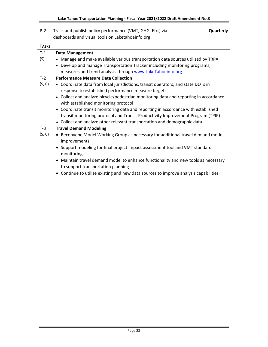| $P-2$        | Track and publish policy performance (VMT, GHG, Etc.) via<br>Quarterly<br>dashboards and visual tools on Laketahoeinfo.org                                           |
|--------------|----------------------------------------------------------------------------------------------------------------------------------------------------------------------|
| <b>TASKS</b> |                                                                                                                                                                      |
| $T-1$        | <b>Data Management</b>                                                                                                                                               |
| (S)          | • Manage and make available various transportation data sources utilized by TRPA                                                                                     |
|              | • Develop and manage Transportation Tracker including monitoring programs,                                                                                           |
|              | measures and trend analysis through www.LakeTahoeinfo.org                                                                                                            |
| $T-2$        | <b>Performance Measure Data Collection</b>                                                                                                                           |
| (S, C)       | • Coordinate data from local jurisdictions, transit operators, and state DOTs in<br>response to established performance measure targets                              |
|              | • Collect and analyze bicycle/pedestrian monitoring data and reporting in accordance<br>with established monitoring protocol                                         |
|              | • Coordinate transit monitoring data and reporting in accordance with established<br>transit monitoring protocol and Transit Productivity Improvement Program (TPIP) |
|              | • Collect and analyze other relevant transportation and demographic data                                                                                             |
| $T-3$        | <b>Travel Demand Modeling</b>                                                                                                                                        |
| (S, C)       | • Reconvene Model Working Group as necessary for additional travel demand model<br>improvements                                                                      |
|              | • Support modeling for final project impact assessment tool and VMT standard<br>monitoring                                                                           |
|              | Maintain travel demand model to enhance functionality and new tools as necessary                                                                                     |

- to support transportation planning
- Continue to utilize existing and new data sources to improve analysis capabilities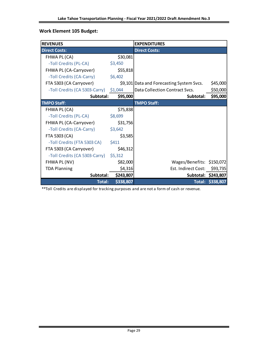# **Work Element 105 Budget:**

| <b>REVENUES</b>                       |           | <b>EXPENDITURES</b>                       |                     |
|---------------------------------------|-----------|-------------------------------------------|---------------------|
| <b>Direct Costs:</b>                  |           | <b>Direct Costs:</b>                      |                     |
| FHWA PL (CA)                          | \$30,081  |                                           |                     |
| -Toll Credits (PL-CA)                 | \$3,450   |                                           |                     |
| FHWA PL (CA-Carryover)                | \$55,818  |                                           |                     |
| -Toll Credits (CA-Carry)              | \$6,402   |                                           |                     |
| FTA 5303 (CA Carryover)               |           | \$9,101 Data and Forecasting System Svcs. | \$45,000            |
| -Toll Credits (CA 5303-Carry) \$1,044 |           | Data Collection Contract Svcs.            | \$50,000            |
| Subtotal:                             | \$95,000  | Subtotal:                                 | \$95,000            |
| <b>TMPO Staff:</b>                    |           | <b>TMPO Staff:</b>                        |                     |
| FHWA PL (CA)                          | \$75,838  |                                           |                     |
| -Toll Credits (PL-CA)                 | \$8,699   |                                           |                     |
| FHWA PL (CA-Carryover)                | \$31,756  |                                           |                     |
| -Toll Credits (CA-Carry)              | \$3,642   |                                           |                     |
| FTA 5303 (CA)                         | \$3,585   |                                           |                     |
| -Toll Credits (FTA 5303 CA)           | \$411     |                                           |                     |
| FTA 5303 (CA Carryover)               | \$46,312  |                                           |                     |
| -Toll Credits (CA 5303-Carry)         | \$5,312   |                                           |                     |
| FHWA PL (NV)                          | \$82,000  | Wages/Benefits: \$150,072                 |                     |
| <b>TDA Planning</b>                   | \$4,316   | Est. Indirect Cost:                       | \$93,735            |
| Subtotal:                             | \$243,807 |                                           | Subtotal: \$243,807 |
| <b>Total:</b>                         | \$338,807 |                                           | Total: \$338,807    |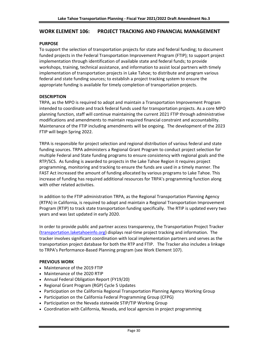### **WORK ELEMENT 106: PROJECT TRACKING AND FINANCIAL MANAGEMENT**

### **PURPOSE**

To support the selection of transportation projects for state and federal funding; to document funded projects in the Federal Transportation Improvement Program (FTIP); to support project implementation through identification of available state and federal funds; to provide workshops, training, technical assistance, and information to assist local partners with timely implementation of transportation projects in Lake Tahoe; to distribute and program various federal and state funding sources; to establish a project tracking system to ensure the appropriate funding is available for timely completion of transportation projects.

### **DESCRIPTION**

TRPA, as the MPO is required to adopt and maintain a Transportation Improvement Program intended to coordinate and track federal funds used for transportation projects. As a core MPO planning function, staff will continue maintaining the current 2021 FTIP through administrative modifications and amendments to maintain required financial constraint and accountability. Maintenance of the FTIP including amendments will be ongoing. The development of the 2023 FTIP will begin Spring 2022.

TRPA is responsible for project selection and regional distribution of various federal and state funding sources. TRPA administers a Regional Grant Program to conduct project selection for multiple Federal and State funding programs to ensure consistency with regional goals and the RTP/SCS. As funding is awarded to projects in the Lake Tahoe Region it requires project programming, monitoring and tracking to ensure the funds are used in a timely manner. The FAST Act increased the amount of funding allocated by various programs to Lake Tahoe. This increase of funding has required additional resources for TRPA's programming function along with other related activities.

In addition to the FTIP administration TRPA, as the Regional Transportation Planning Agency (RTPA) in California, is required to adopt and maintain a Regional Transportation Improvement Program (RTIP) to track state transportation funding specifically. The RTIP is updated every two years and was last updated in early 2020.

In order to provide public and partner access transparency, the Transportation Project Tracker [\(transportation.laketahoeinfo.org\)](https://transportation.laketahoeinfo.org/) displays real-time project tracking and information. The tracker involves significant coordination with local implementation partners and serves as the transportation project database for both the RTP and FTIP. The Tracker also includes a linkage to TRPA's Performance-Based Planning program (see Work Element 107).

### **PREVIOUS WORK**

- Maintenance of the 2019 FTIP
- Maintenance of the 2020 RTIP
- Annual Federal Obligation Report (FY19/20)
- Regional Grant Program (RGP) Cycle 5 Updates
- Participation on the California Regional Transportation Planning Agency Working Group
- Participation on the California Federal Programming Group (CFPG)
- Participation on the Nevada statewide STIP/TIP Working Group
- Coordination with California, Nevada, and local agencies in project programming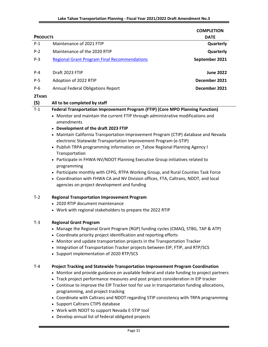| <b>PRODUCTS</b> |                                                                                                                                                                                                                                                                                                                                                                                                                                                                                                                                                                                                                                                                                                                                                                                                                 | <b>COMPLETION</b><br><b>DATE</b> |
|-----------------|-----------------------------------------------------------------------------------------------------------------------------------------------------------------------------------------------------------------------------------------------------------------------------------------------------------------------------------------------------------------------------------------------------------------------------------------------------------------------------------------------------------------------------------------------------------------------------------------------------------------------------------------------------------------------------------------------------------------------------------------------------------------------------------------------------------------|----------------------------------|
| $P-1$           | Maintenance of 2021 FTIP                                                                                                                                                                                                                                                                                                                                                                                                                                                                                                                                                                                                                                                                                                                                                                                        | Quarterly                        |
| $P-2$           | Maintenance of the 2020 RTIP                                                                                                                                                                                                                                                                                                                                                                                                                                                                                                                                                                                                                                                                                                                                                                                    | Quarterly                        |
| $P-3$           | <b>Regional Grant Program Final Recommendations</b>                                                                                                                                                                                                                                                                                                                                                                                                                                                                                                                                                                                                                                                                                                                                                             | September 2021                   |
| $P - 4$         | Draft 2023 FTIP                                                                                                                                                                                                                                                                                                                                                                                                                                                                                                                                                                                                                                                                                                                                                                                                 | <b>June 2022</b>                 |
| $P-5$           | Adoption of 2022 RTIP                                                                                                                                                                                                                                                                                                                                                                                                                                                                                                                                                                                                                                                                                                                                                                                           | December 2021                    |
| $P-6$           | <b>Annual Federal Obligations Report</b>                                                                                                                                                                                                                                                                                                                                                                                                                                                                                                                                                                                                                                                                                                                                                                        | December 2021                    |
| 2TASKS          |                                                                                                                                                                                                                                                                                                                                                                                                                                                                                                                                                                                                                                                                                                                                                                                                                 |                                  |
| (S)             | All to be completed by staff                                                                                                                                                                                                                                                                                                                                                                                                                                                                                                                                                                                                                                                                                                                                                                                    |                                  |
| $T-1$           | Federal Transportation Improvement Program (FTIP) (Core MPO Planning Function)<br>• Monitor and maintain the current FTIP through administrative modifications and<br>amendments<br>• Development of the draft 2023 FTIP<br>• Maintain California Transportation Improvement Program (CTIP) database and Nevada<br>electronic Statewide Transportation Improvement Program (e-STIP)<br>• Publish TRPA programming information on Tahoe Regional Planning Agency I<br>Transportation<br>• Participate in FHWA-NV/NDOT Planning Executive Group initiatives related to<br>programming<br>• Participate monthly with CFPG, RTPA Working Group, and Rural Counties Task Force<br>• Coordination with FHWA CA and NV Division offices, FTA, Caltrans, NDOT, and local<br>agencies on project development and funding |                                  |
| $T-2$           | <b>Regional Transportation Improvement Program</b><br>• 2020 RTIP document maintenance<br>• Work with regional stakeholders to prepare the 2022 RTIP                                                                                                                                                                                                                                                                                                                                                                                                                                                                                                                                                                                                                                                            |                                  |
| T-3             | <b>Regional Grant Program</b><br>• Manage the Regional Grant Program (RGP) funding cycles (CMAQ, STBG, TAP & ATP)<br>• Coordinate priority project identification and reporting efforts<br>• Monitor and update transportation projects in the Transportation Tracker<br>• Integration of Transportation Tracker projects between EIP, FTIP, and RTP/SCS<br>• Support implementation of 2020 RTP/SCS                                                                                                                                                                                                                                                                                                                                                                                                            |                                  |
| $T-4$           | Project Tracking and Statewide Transportation Improvement Program Coordination<br>• Monitor and provide guidance on available federal and state funding to project partners<br>• Track project performance measures and post project consideration in EIP tracker<br>• Continue to improve the EIP Tracker tool for use in transportation funding allocations,<br>programming, and project tracking<br>• Coordinate with Caltrans and NDOT regarding STIP consistency with TRPA programming<br>• Support Caltrans CTIPS database<br>• Work with NDOT to support Nevada E-STIP tool<br>• Develop annual list of federal obligated projects                                                                                                                                                                       |                                  |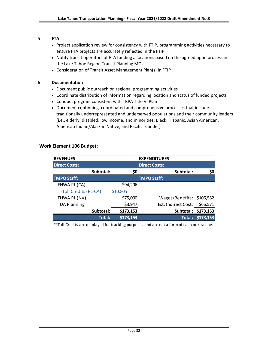# T-5 **FTA**

- Project application review for consistency with FTIP, programming activities necessary to ensure FTA projects are accurately reflected in the FTIP
- Notify transit operators of FTA funding allocations based on the agreed upon process in the Lake Tahoe Region Transit Planning MOU
- Consideration of Transit Asset Management Plan(s) in FTIP

### T-6 **Documentation**

- Document public outreach on regional programming activities
- Coordinate distribution of information regarding location and status of funded projects
- Conduct program consistent with TRPA Title VI Plan
- Document continuing, coordinated and comprehensive processes that include traditionally underrepresented and underserved populations and their community leaders (i.e., elderly, disabled, low income, and minorities: Black, Hispanic, Asian American, American Indian/Alaskan Native, and Pacific Islander)

# **Work Element 106 Budget:**

| <b>REVENUES</b>       |           | <b>EXPENDITURES</b>       |                     |
|-----------------------|-----------|---------------------------|---------------------|
| <b>Direct Costs:</b>  |           | <b>Direct Costs:</b>      |                     |
| Subtotal:             | \$0       | Subtotal:                 | \$0                 |
| <b>TMPO Staff:</b>    |           | <b>TMPO Staff:</b>        |                     |
| FHWA PL (CA)          | \$94,206  |                           |                     |
| -Toll Credits (PL-CA) | \$10,805  |                           |                     |
| FHWA PL (NV)          | \$75,000  | Wages/Benefits: \$106,582 |                     |
| <b>TDA Planning</b>   | \$3,947   | Est. Indirect Cost:       | \$66,571            |
| Subtotal:             | \$173,153 |                           | Subtotal: \$173,153 |
| <b>Total:</b>         | \$173,153 |                           | Total: \$173,153    |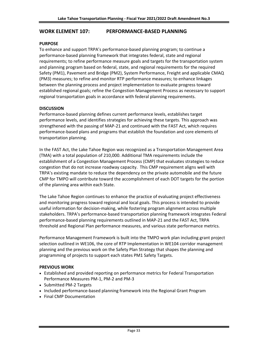### **WORK ELEMENT 107: PERFORMANCE-BASED PLANNING**

### **PURPOSE**

To enhance and support TRPA's performance-based planning program; to continue a performance-based planning framework that integrates federal, state and regional requirements; to refine performance measure goals and targets for the transportation system and planning program based on federal, state, and regional requirements for the required Safety (PM1), Pavement and Bridge (PM2), System Performance, Freight and applicable CMAQ (PM3) measures; to refine and monitor RTP performance measures; to enhance linkages between the planning process and project implementation to evaluate progress toward established regional goals; refine the Congestion Management Process as necessary to support regional transportation goals in accordance with federal planning requirements.

### **DISCUSSION**

Performance-based planning defines current performance levels, establishes target performance levels, and identifies strategies for achieving these targets. This approach was strengthened with the passing of MAP-21 and continued with the FAST Act, which requires performance-based plans and programs that establish the foundation and core elements of transportation planning.

In the FAST Act, the Lake Tahoe Region was recognized as a Transportation Management Area (TMA) with a total population of 210,000. Additional TMA requirements include the establishment of a Congestion Management Process (CMP) that evaluates strategies to reduce congestion that do not increase roadway capacity. This CMP requirement aligns well with TRPA's existing mandate to reduce the dependency on the private automobile and the future CMP for TMPO will contribute toward the accomplishment of each DOT targets for the portion of the planning area within each State.

The Lake Tahoe Region continues to enhance the practice of evaluating project effectiveness and monitoring progress toward regional and local goals. This process is intended to provide useful information for decision-making, while fostering program alignment across multiple stakeholders. TRPA's performance-based transportation planning framework integrates Federal performance-based planning requirements outlined in MAP-21 and the FAST Act, TRPA threshold and Regional Plan performance measures, and various state performance metrics.

Performance Management Framework is built into the TMPO work plan including grant project selection outlined in WE106, the core of RTP Implementation in WE104 corridor management planning and the previous work on the Safety Plan Strategy that shapes the planning and programming of projects to support each states PM1 Safety Targets.

### **PREVIOUS WORK**

- Established and provided reporting on performance metrics for Federal Transportation Performance Measures PM-1, PM-2 and PM-3
- Submitted PM-2 Targets
- Included performance-based planning framework into the Regional Grant Program
- Final CMP Documentation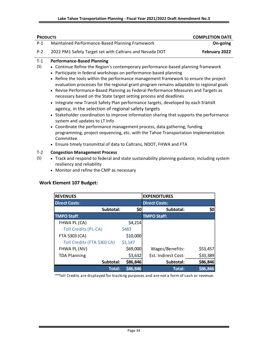| <b>PRODUCTS</b> |                                                                                                                                                                                                                                                                                                                                                                                                                                                                                                                                                                                                                                                                                                                                                                                                                                                                                                                                                                                                                                                                       | <b>COMPLETION DATE</b> |
|-----------------|-----------------------------------------------------------------------------------------------------------------------------------------------------------------------------------------------------------------------------------------------------------------------------------------------------------------------------------------------------------------------------------------------------------------------------------------------------------------------------------------------------------------------------------------------------------------------------------------------------------------------------------------------------------------------------------------------------------------------------------------------------------------------------------------------------------------------------------------------------------------------------------------------------------------------------------------------------------------------------------------------------------------------------------------------------------------------|------------------------|
| $P-1$           | Maintained Performance-Based Planning Framework                                                                                                                                                                                                                                                                                                                                                                                                                                                                                                                                                                                                                                                                                                                                                                                                                                                                                                                                                                                                                       | On-going               |
| $P-2$           | 2022 PM1 Safety Target set with Caltrans and Nevada DOT                                                                                                                                                                                                                                                                                                                                                                                                                                                                                                                                                                                                                                                                                                                                                                                                                                                                                                                                                                                                               | February 2022          |
| $T-1$<br>(S)    | <b>Performance-Based Planning</b><br>• Continue Refine the Region's contemporary performance-based planning framework<br>• Participate in federal workshops on performance-based planning<br>• Refine the tools within the performance management framework to ensure the project<br>evaluation processes for the regional grant program remains adaptable to regional goals<br>• Revise Performance-Based Planning as Federal Performance Measures and Targets as<br>necessary based on the State target setting process and deadlines<br>Integrate new Transit Safety Plan performance targets, developed by each transit<br>agency, in the selection of regional safety targets<br>• Stakeholder coordination to improve information sharing that supports the performance<br>system and updates to LT Info<br>• Coordinate the performance management process, data gathering, funding<br>programming, project sequencing, etc. with the Tahoe Transportation Implementation<br>Committee.<br>• Ensure timely transmittal of data to Caltrans, NDOT, FHWA and FTA |                        |
| $T-2$<br>(S)    | <b>Congestion Management Process</b><br>• Track and respond to federal and state sustainability planning guidance, including system<br>resiliency and reliability                                                                                                                                                                                                                                                                                                                                                                                                                                                                                                                                                                                                                                                                                                                                                                                                                                                                                                     |                        |

• Monitor and refine the CMP as necessary

# **Work Element 107 Budget:**

| <b>REVENUES</b>             |          | <b>EXPENDITURES</b>  |          |
|-----------------------------|----------|----------------------|----------|
| <b>Direct Costs:</b>        |          | <b>Direct Costs:</b> |          |
| Subtotal:                   | \$0      | Subtotal:            | \$0      |
| <b>TMPO Staff:</b>          |          | <b>TMPO Staff:</b>   |          |
| FHWA PL (CA)                | \$4,214  |                      |          |
| -Toll Credits (PL-CA)       | \$483    |                      |          |
| FTA 5303 (CA)               | \$10,000 |                      |          |
| -Toll Credits (FTA 5303 CA) | \$1,147  |                      |          |
| FHWA PL (NV)                | \$69,000 | Wages/Benefits:      | \$53,457 |
| <b>TDA Planning</b>         | \$3,632  | Est. Indirect Cost:  | \$33,389 |
| Subtotal:                   | \$86,846 | Subtotal:            | \$86,846 |
| <b>Total:</b>               | \$86,846 | <b>Total:</b>        | \$86,846 |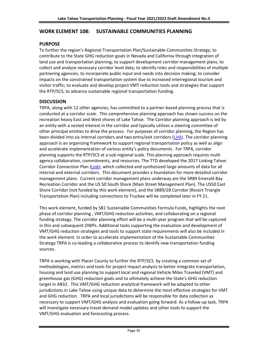# **WORK ELEMENT 108: SUSTAINABLE COMMUNITIES PLANNING**

### **PURPOSE**

To further the region's Regional Transportation Plan/Sustainable Communities Strategy; to contribute to the State GHG reduction goals in Nevada and California through integration of land use and transportation planning; to support development corridor management plans; to collect and analyze necessary corridor level data; to identify roles and responsibilities of multiple partnering agencies; to incorporate public input and needs into decision making; to consider impacts on the constrained transportation system due to increased interregional tourism and visitor traffic; to evaluate and develop project VMT reduction tools and strategies that support the RTP/SCS; to advance sustainable regional transportation funding.

### **DISCUSSION**

TRPA, along with 12 other agencies, has committed to a partner-based planning process that is conducted at a corridor scale. This comprehensive planning approach has shown success on the recreation heavy East and West shores of Lake Tahoe. The Corridor planning approach is led by an entity with a vested interest in the corridor and typically utilizes a steering committee of other principal entities to drive the process. For purposes of corridor planning, the Region has been divided into six internal corridors and two entry/exit corridors [\(Link\)](http://www.trpa.org/wp-content/uploads/maps/corridor%20planning%20concpet%20map.jpg). The corridor planning approach is an organizing framework to support regional transportation policy as well as align and accelerate implementation of various entity's policy documents. For TRPA, corridor planning supports the RTP/SCS at a sub-regional scale. This planning approach requires multi agency collaboration, commitments, and resources. The TTD developed the 2017 Linking Tahoe: Corridor Connection Plan [\(Link\)](https://www.tahoetransportation.org/images/assets/Planning_Docs/2017-Sept-Linking_Tahoe_CCP-Adopted.pdf), which collected and synthesized large amounts of data for all internal and external corridors. This document provides a foundation for more detailed corridor management plans. Current corridor management plans underway are the SR89 Emerald Bay Recreation Corridor and the US 50 South Shore (Main Street Management Plan). The US50 East Shore Corridor (not funded by this work element), and the SR89/28 Corridor (Resort Triangle Transportation Plan) including connections to Truckee will be completed later in FY 21.

This work element, funded by SB1 Sustainable Communities Formula Funds, highlights the next phase of corridor planning , VMT/GHG reduction activities, and collaborating on a regional funding strategy. The corridor planning effort will be a multi-year program that will be captured in this and subsequent OWPs. Additional tasks supporting the evaluation and development of VMT/GHG reduction strategies and tools to support state requirements will also be included in the work element. In order to accelerate implementation of the Sustainable Communities Strategy TRPA is co-leading a collaborative process to identify new transportation funding sources.

TRPA is working with Placer County to further the RTP/SCS by creating a common set of methodologies, metrics and tools for project impact analysis to better integrate transportation, housing and land use planning to support local and regional Vehicle Miles Traveled (VMT) and greenhouse gas (GHG) reduction goals and to ultimately achieve the State's GHG reduction target in AB32. This VMT/GHG reduction analytical framework will be adapted to other jurisdictions in Lake Tahoe using unique data to determine the most effective strategies for VMT and GHG reduction. TRPA and local jurisdictions will be responsible for data collection as necessary to support VMT/GHG analysis and evaluation going forward. As a follow-up task, TRPA will investigate necessary travel demand model updates and other tools to support the VMT/GHG evaluation and forecasting process.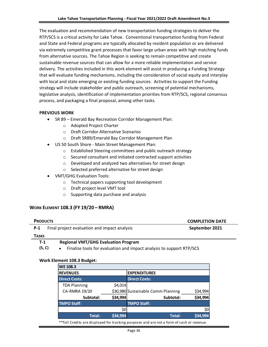The evaluation and recommendation of new transportation funding strategies to deliver the RTP/SCS is a critical activity for Lake Tahoe. Conventional transportation funding from Federal and State and Federal programs are typically allocated by resident population or are delivered via extremely competitive grant processes that favor large urban areas with high matching funds from alternative sources. The Tahoe Region is seeking to remain competitive and create sustainable revenue sources that can allow for a more reliable implementation and service delivery. The activities included in this work element will assist in producing a Funding Strategy that will evaluate funding mechanisms, including the consideration of social equity and interplay with local and state emerging or existing funding sources. Activities to support the Funding strategy will include stakeholder and public outreach, screening of potential mechanisms, legislative analysis, identification of implementation priorities from RTP/SCS, regional consensus process, and packaging a final proposal, among other tasks.

### **PREVIOUS WORK**

- SR 89 Emerald Bay Recreation Corridor Management Plan:
	- o Adopted Project Charter
	- o Draft Corridor Alternative Scenarios
	- o Draft SR89/Emerald Bay Corridor Management Plan
- US 50 South Shore Main Street Management Plan:
	- o Established Steering committees and public outreach strategy
	- o Secured consultant and initiated contracted support activities
	- o Developed and analyzed two alternatives for street design
	- o Selected preferred alternative for street design
- VMT/GHG Evaluation Tools:
	- o Technical papers supporting tool development
	- o Draft project level VMT tool
	- o Supporting data purchase and analysis

### **WORK ELEMENT 108.3 (FY 19/20 – RMRA)**

| <b>PRODUCTS</b> |                                              | <b>COMPLETION DATE</b> |  |  |  |  |
|-----------------|----------------------------------------------|------------------------|--|--|--|--|
| $P-1$           | Final project evaluation and impact analysis | September 2021         |  |  |  |  |
| <b>TASKS</b>    |                                              |                        |  |  |  |  |
| T-1             | <b>Regional VMT/GHG Evaluation Program</b>   |                        |  |  |  |  |

**(S, C)** • Finalize tools for evaluation and impact analysis to support RTP/SCS

### **Work Element 108.3 Budget:**

| <b>WE 108.3</b>                                                                               |          |                                    |          |  |  |  |  |  |  |  |  |
|-----------------------------------------------------------------------------------------------|----------|------------------------------------|----------|--|--|--|--|--|--|--|--|
| <b>REVENUES</b>                                                                               |          | <b>EXPENDITURES</b>                |          |  |  |  |  |  |  |  |  |
| <b>Direct Costs:</b>                                                                          |          | <b>Direct Costs:</b>               |          |  |  |  |  |  |  |  |  |
| <b>TDA Planning</b>                                                                           | \$4,014  |                                    |          |  |  |  |  |  |  |  |  |
| CA-RMRA 19/20                                                                                 |          | \$30,980 Sustainable Comm Planning | \$34,994 |  |  |  |  |  |  |  |  |
| Subtotal:                                                                                     | \$34,994 | Subtotal:                          | \$34,994 |  |  |  |  |  |  |  |  |
| <b>TMPO Staff:</b>                                                                            |          | <b>TMPO Staff:</b>                 |          |  |  |  |  |  |  |  |  |
|                                                                                               | \$0      |                                    | \$0      |  |  |  |  |  |  |  |  |
| Total:                                                                                        | \$34,994 | Total:                             | \$34,994 |  |  |  |  |  |  |  |  |
| **Tall Cuadita and diambersed fou tue duing proposed and and a family of each supercorrection |          |                                    |          |  |  |  |  |  |  |  |  |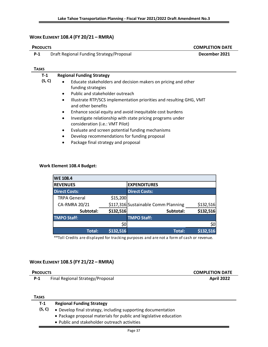# **WORK ELEMENT 108.4 (FY 20/21 – RMRA)**

| <b>PRODUCTS</b> |                                                                                                            | <b>COMPLETION DATE</b> |
|-----------------|------------------------------------------------------------------------------------------------------------|------------------------|
| $P-1$           | Draft Regional Funding Strategy/Proposal                                                                   | December 2021          |
|                 |                                                                                                            |                        |
| Tasks           |                                                                                                            |                        |
| $T-1$           | <b>Regional Funding Strategy</b>                                                                           |                        |
| (S, C)          | Educate stakeholders and decision makers on pricing and other<br>٠                                         |                        |
|                 | funding strategies                                                                                         |                        |
|                 | Public and stakeholder outreach<br>$\bullet$                                                               |                        |
|                 | Illustrate RTP/SCS implementation priorities and resulting GHG, VMT<br>$\bullet$<br>and other benefits     |                        |
|                 | Enhance social equity and avoid inequitable cost burdens<br>٠                                              |                        |
|                 | Investigate relationship with state pricing programs under<br>$\bullet$<br>consideration (i.e.: VMT Pilot) |                        |
|                 | Evaluate and screen potential funding mechanisms<br>٠                                                      |                        |

- Develop recommendations for funding proposal
- Package final strategy and proposal

### **Work Element 108.4 Budget:**

| <b>WE 108.4</b>      |           |                                                  |           |  |  |  |  |  |  |  |  |
|----------------------|-----------|--------------------------------------------------|-----------|--|--|--|--|--|--|--|--|
| <b>REVENUES</b>      |           | <b>EXPENDITURES</b>                              |           |  |  |  |  |  |  |  |  |
| <b>Direct Costs:</b> |           | <b>Direct Costs:</b>                             |           |  |  |  |  |  |  |  |  |
| <b>TRPA General</b>  | \$15,200  |                                                  |           |  |  |  |  |  |  |  |  |
| CA-RMRA 20/21        |           | \$117,316 Sustainable Comm Planning<br>\$132,516 |           |  |  |  |  |  |  |  |  |
| Subtotal:            | \$132,516 | Subtotal:                                        | \$132,516 |  |  |  |  |  |  |  |  |
| <b>TMPO Staff:</b>   |           | <b>TMPO Staff:</b>                               |           |  |  |  |  |  |  |  |  |
|                      | \$0       |                                                  | \$0       |  |  |  |  |  |  |  |  |
| Total:               | \$132,516 | <b>Total:</b>                                    | \$132,516 |  |  |  |  |  |  |  |  |

\*\*Toll Credits are displayed for tracking purposes and are not a form of cash or revenue.

### **WORK ELEMENT 108.5 (FY 21/22 – RMRA)**

| <b>PRODUCTS</b> |                                  | <b>COMPLETION DATE</b> |
|-----------------|----------------------------------|------------------------|
| $P-1$           | Final Regional Strategy/Proposal | <b>April 2022</b>      |
|                 |                                  |                        |

### **TASKS**

| T-1    | <b>Regional Funding Strategy</b>                                  |
|--------|-------------------------------------------------------------------|
| (S, C) | • Develop final strategy, including supporting documentation      |
|        | • Package proposal materials for public and legislative education |
|        | • Public and stakeholder outreach activities                      |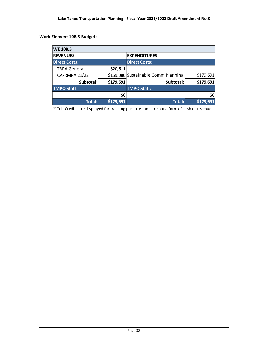# **Work Element 108.5 Budget:**

| <b>WE 108.5</b>      |           |                                                  |           |  |  |  |  |  |  |  |  |
|----------------------|-----------|--------------------------------------------------|-----------|--|--|--|--|--|--|--|--|
| <b>REVENUES</b>      |           | <b>EXPENDITURES</b>                              |           |  |  |  |  |  |  |  |  |
| <b>Direct Costs:</b> |           | <b>Direct Costs:</b>                             |           |  |  |  |  |  |  |  |  |
| <b>TRPA General</b>  | \$20,611  |                                                  |           |  |  |  |  |  |  |  |  |
| <b>CA-RMRA 21/22</b> |           | \$179,691<br>\$159,080 Sustainable Comm Planning |           |  |  |  |  |  |  |  |  |
| Subtotal:            | \$179,691 | Subtotal:                                        | \$179,691 |  |  |  |  |  |  |  |  |
| <b>TMPO Staff:</b>   |           | <b>TMPO Staff:</b>                               |           |  |  |  |  |  |  |  |  |
|                      | \$0       |                                                  | \$0       |  |  |  |  |  |  |  |  |
| Total:               | \$179,691 | Total:                                           | \$179,691 |  |  |  |  |  |  |  |  |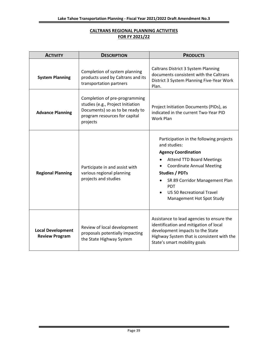# **CALTRANS REGIONAL PLANNING ACTIVITIES FOR FY 2021/22**

| <b>ACTIVITY</b>                                   | <b>DESCRIPTION</b>                                                                                                                                 | <b>PRODUCTS</b>                                                                                                                                                                                                                                                                                         |  |  |  |  |  |
|---------------------------------------------------|----------------------------------------------------------------------------------------------------------------------------------------------------|---------------------------------------------------------------------------------------------------------------------------------------------------------------------------------------------------------------------------------------------------------------------------------------------------------|--|--|--|--|--|
| <b>System Planning</b>                            | Completion of system planning<br>products used by Caltrans and its<br>transportation partners                                                      | <b>Caltrans District 3 System Planning</b><br>documents consistent with the Caltrans<br>District 3 System Planning Five-Year Work<br>Plan.                                                                                                                                                              |  |  |  |  |  |
| <b>Advance Planning</b>                           | Completion of pre-programming<br>studies (e.g., Project Initiation<br>Documents) so as to be ready to<br>program resources for capital<br>projects | Project Initiation Documents (PIDs), as<br>indicated in the current Two-Year PID<br>Work Plan                                                                                                                                                                                                           |  |  |  |  |  |
| <b>Regional Planning</b>                          | Participate in and assist with<br>various regional planning<br>projects and studies                                                                | Participation in the following projects<br>and studies:<br><b>Agency Coordination</b><br><b>Attend TTD Board Meetings</b><br><b>Coordinate Annual Meeting</b><br><b>Studies / PDTs</b><br>SR 89 Corridor Management Plan<br><b>PDT</b><br><b>US 50 Recreational Travel</b><br>Management Hot Spot Study |  |  |  |  |  |
| <b>Local Development</b><br><b>Review Program</b> | Review of local development<br>proposals potentially impacting<br>the State Highway System                                                         | Assistance to lead agencies to ensure the<br>identification and mitigation of local<br>development impacts to the State<br>Highway System that is consistent with the<br>State's smart mobility goals                                                                                                   |  |  |  |  |  |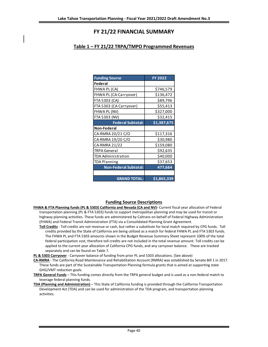# **FY 21/22 FINANCIAL SUMMARY**

# **Table 1 – FY 21/22 TRPA/TMPO Programmed Revenues**

| <b>Funding Source</b>        | <b>FY 2022</b> |
|------------------------------|----------------|
| Federal                      |                |
| FHWA PL (CA)                 | \$746,579      |
| FHWA PL (CA-Carryover)       | \$136,472      |
| FTA 5303 (CA)                | \$89,796       |
| FTA 5303 (CA Carryover)      | \$55,413       |
| FHWA PL (NV)                 | \$327,000      |
| FTA 5303 (NV)                | \$32,415       |
| <b>Federal Subtotal:</b>     | \$1,387,675    |
| <b>Non-Federal</b>           |                |
| CA-RMRA 20/21 C/O            | \$117,316      |
| CA-RMRA 19/20 C/O            | \$30,980       |
| CA-RMRA 21/22                | \$159,080      |
| TRPA General                 | \$92,635       |
| TDA Administration           | \$40,000       |
| TDA Planning                 | \$37,653       |
| <b>Non-Federal Subtotal:</b> | 477,664        |
|                              |                |
| <b>GRAND TOTAL:</b>          | \$1,865,339    |

### **Funding Source Descriptions**

- **FHWA & FTA Planning funds (PL & 5303) California and Nevada (CA and NV)-** Current fiscal year allocation of Federal transportation planning (PL & FTA 5303) funds to support metropolitan planning and may be used for transit or highway planning activities. These funds are administered by Caltrans on behalf of Federal Highway Administration (FHWA) and Federal Transit Administration (FTA) via a Consolidated Planning Grant Agreement.
	- **Toll Credits** Toll credits are not revenue or cash, but rather a substitute for local match required by CPG funds. Toll credits provided by the State of California are being utilized as a match for federal FHWA PL and FTA 5303 funds. The FHWA PL and FTA 5303 amounts shown in the Budget Revenue Summary Sheet represent 100% of the total federal participation cost, therefore toll credits are not included in the total revenue amount. Toll credits can be applied to the current year allocation of California CPG funds, and any carryover balance. These are tracked separately and can be found on Table 7.

**PL & 5303 Carryover** - Carryover balance of funding from prior PL and 5303 allocations. (See above)

- **CA-RMRA** The California Road Maintenance and Rehabilitation Account (RMRA) was established by Senate Bill 1 in 2017. These funds are part of the Sustainable Transportation Planning formula grants that is aimed at supporting state GHG/VMT reduction goals.
- **TRPA General Funds** This funding comes directly from the TRPA general budget and is used as a non-federal match to leverage federal planning funds.
- **TDA (Planning and Administration)** This State of California funding is provided through the California Transportation Development Act (TDA) and can be used for administration of the TDA program, and transportation planning activities.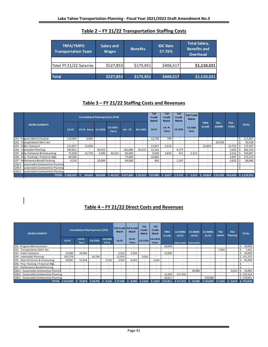| <b>TRPA/TMPO</b><br><b>Transportation Team</b> | Salary and<br><b>Wages</b> | <b>Benefits</b> | <b>IDC Rate</b><br>57.76% | <b>Total Salary,</b><br><b>Benefits and</b><br><b>Overhead</b> |  |  |  |
|------------------------------------------------|----------------------------|-----------------|---------------------------|----------------------------------------------------------------|--|--|--|
|                                                |                            |                 |                           |                                                                |  |  |  |
| Total FY 21/22 Salaries                        | \$527,853                  | \$175,951       | \$406,517                 | \$1,110,321                                                    |  |  |  |
|                                                |                            |                 |                           |                                                                |  |  |  |
| <b>Total</b>                                   | \$527,853                  | \$175,951       | \$406,517                 | \$1,110,321                                                    |  |  |  |

# **Table 2 – FY 21/22 Transportation Staffing Costs**

# **Table 3 – FY 21/22 Staffing Costs and Revenues**

|  |                                          |           | <b>Consolidated Planning Grant (CPG)</b> |                          |                          |                          |                          | Toll<br><b>Credit</b><br>Match | Toll<br><b>Credit</b><br>Match | <b>Toll</b><br><b>Credit</b><br>Match | <b>Toll Credit</b><br>Match |                          |                          |                          |              |                            |
|--|------------------------------------------|-----------|------------------------------------------|--------------------------|--------------------------|--------------------------|--------------------------|--------------------------------|--------------------------------|---------------------------------------|-----------------------------|--------------------------|--------------------------|--------------------------|--------------|----------------------------|
|  | <b>WORK ELEMENTS</b>                     | CA-PL     | CA PL -Carry CA 5303                     |                          | CA 5303 -<br>Carry       | NV-PL                    | <b>NV 5303</b>           | CA-PL                          | CA-PL<br>Carry                 | CA 5303                               | CA 5303<br>Carry            | <b>TRPA</b><br>(Local)   | TDA -<br><b>ADMIN</b>    | TDA -<br><b>PLNG</b>     | <b>TOTAL</b> |                            |
|  | 101- Program Administration              | 110,983   | 6,964                                    | $\overline{\phantom{a}}$ | $\sim$                   | -                        | $\sim$                   | 12,730                         | 799                            | $\sim$                                | $\overline{\phantom{a}}$    | $\sim$                   | $\overline{\phantom{a}}$ |                          |              | 117,947                    |
|  | 102 - Transportation Dev't. Act          | ۰         |                                          | $\overline{\phantom{a}}$ | $\overline{\phantom{a}}$ |                          | $\overline{\phantom{a}}$ |                                |                                | $\sim$                                |                             | $\sim$                   | 32,558                   |                          |              | 32,558                     |
|  | 103 - Public Outreach                    | 111,827   | 21,934                                   | $\overline{\phantom{a}}$ | $\overline{\phantom{a}}$ |                          | $\overline{\phantom{a}}$ | 12,827                         | 2,516                          | $\overline{a}$                        | $\overline{a}$              | 24,824                   | $\sim$                   | 14,722                   |              | 173,307                    |
|  | 104 - Intermodal Planning                | 105,851   | $\overline{\phantom{a}}$                 | 36,415                   | $\overline{\phantom{a}}$ | 101,000                  | 32,415                   | 12,141                         |                                | 4,177                                 |                             | $\overline{\phantom{a}}$ | $\sim$                   | 7,022                    |              | 282,703                    |
|  | 105 - Data Collection & Forecasting      | 75,838    | 31,756                                   | 3,585                    | 46,312                   | 82,000                   | $\sim$                   | 8,699                          | 3.642                          | 411                                   | 5,312                       | $\sim$                   | $\sim$                   | 4,316                    |              | 243,807                    |
|  | 106 - Prbj. Tracking + Financial Mgt.    | 94,206    | $\overline{\phantom{a}}$                 |                          | $\overline{\phantom{a}}$ | 75.000                   | $\sim$                   | 10,805                         | $\sim$                         | $\sim$                                | $\overline{\phantom{a}}$    | $\sim$                   | $\sim$                   | 3,947                    |              | 173,153                    |
|  | 107 - Performance-Based Planning         | 4,214     | $\overline{\phantom{a}}$                 | 10,000                   | $\overline{\phantom{a}}$ | 69,000                   | $\sim$                   | 483                            |                                | 1,147                                 | $\overline{\phantom{a}}$    | $\sim$                   | $\sim$                   | 3,632                    |              | 86,846                     |
|  | 108.3 - Sustainable Communities Planning | ٠         |                                          | $\overline{\phantom{a}}$ | $\overline{\phantom{a}}$ | $\overline{\phantom{a}}$ | $\overline{\phantom{a}}$ | $\overline{\phantom{a}}$       | $\sim$                         | $\sim$                                | $\overline{\phantom{a}}$    | $\sim$                   | $\sim$                   | $\overline{\phantom{a}}$ |              |                            |
|  | 108.4 - Sustainable Communities Planning | ٠         |                                          | $\overline{\phantom{a}}$ | $\overline{\phantom{a}}$ |                          | $\overline{\phantom{a}}$ | ۰                              |                                | $\overline{a}$                        |                             | $\overline{\phantom{a}}$ | $\overline{\phantom{a}}$ | $\overline{\phantom{a}}$ |              | $\sim$                     |
|  | 108.5 - Sustainable Communities Planning |           |                                          |                          |                          |                          |                          |                                |                                |                                       |                             |                          |                          |                          |              |                            |
|  | <b>TOTAL:</b>                            | \$502,919 |                                          | 60.654 \$50.000          |                          | $$46.312$ $$327.000$     |                          | $$32.415$ $$57.685$            | \$6.957                        | \$5,735                               | 5.312                       | \$24.824                 | \$32.558 \$33.639        |                          |              | $\frac{1}{2}$ \$ 1.110.321 |

# **Table 4 – FY 21/22 Direct Costs and Revenues**

| <b>WORK ELEMENTS</b>                     | <b>Consolidated Planning Grant (CPG)</b> |                          |                 |                          | Toll Credit Toll Credit<br><b>Match</b> | <b>Match</b>             | Toll<br><b>Credit</b><br><b>Match</b> | Toll<br><b>Credit</b><br><b>Match</b> | <b>TRPA</b><br>(Local)   | <b>CA-RMRA</b><br>20/21  | <b>CA-RMRA</b><br>19/20 | <b>CA-RMRA</b><br>21/22            | <b>TDA</b><br><b>Admin</b> | <b>TDA</b><br>Planning | <b>TOTAL</b> |
|------------------------------------------|------------------------------------------|--------------------------|-----------------|--------------------------|-----------------------------------------|--------------------------|---------------------------------------|---------------------------------------|--------------------------|--------------------------|-------------------------|------------------------------------|----------------------------|------------------------|--------------|
|                                          | <b>CA-PL</b>                             | CA PL-<br>Carry          | CA-5303         | CA-5303<br>Carry         | CA-PL                                   | <b>CA-PL</b><br>Carry    | CA-5303                               | CA-5303<br>Carry                      |                          | Carry-over Carry-over    |                         |                                    |                            |                        |              |
| 101- Program Administration              |                                          |                          |                 |                          |                                         | ٠                        |                                       | $\overline{\phantom{a}}$              | 20,000                   |                          |                         |                                    |                            |                        | 20,000       |
| 102 - Transportation Dev't. Act          |                                          | $\overline{\phantom{a}}$ |                 | $\overline{\phantom{a}}$ | $\overline{\phantom{a}}$                | ٠                        |                                       | $\overline{\phantom{a}}$              |                          | $\overline{\phantom{a}}$ |                         | $\sim$                             | 7,442                      |                        | 7,442        |
| 103 - Public Outreach                    | 22,000                                   | 20,000                   |                 |                          | 2,523                                   | 2,294                    |                                       | $\overline{\phantom{a}}$              | 12,000                   | $\overline{\phantom{a}}$ |                         | $\sim$                             |                            |                        | 54,000       |
| 104 - Intermodal Planning                | 191,579                                  | $\overline{\phantom{a}}$ | 39,796          | $\overline{\phantom{a}}$ | 21,974                                  | $\overline{\phantom{a}}$ | 4,565                                 | ٠                                     | $\sim$                   | $\overline{\phantom{a}}$ |                         |                                    |                            |                        | \$231,375    |
| 105 - Data Collection & Forecasting      | 30,081                                   | 55.818                   |                 | 9,101                    | 3,450                                   | 6,402                    |                                       | 1,044                                 | $\sim$                   | $\overline{\phantom{a}}$ |                         | $\sim$                             |                            |                        | 95,000       |
| 106 - Proj. Tracking + Financial Mgt.    |                                          | $\overline{\phantom{a}}$ |                 | $\overline{\phantom{a}}$ | $\overline{\phantom{a}}$                | ٠                        | ۰                                     | ٠                                     | $\overline{\phantom{a}}$ |                          |                         | $\sim$                             |                            |                        |              |
| 107 - Performance-Based Planning         |                                          | ۰                        |                 | $\overline{\phantom{a}}$ | $\overline{\phantom{a}}$                | ٠                        |                                       | ٠                                     | $\overline{\phantom{a}}$ |                          |                         |                                    |                            | . .                    |              |
| 108.3 - Sustainable Communities Plannin  |                                          | $\overline{\phantom{a}}$ |                 | ۰                        | $\sim$                                  | ٠                        |                                       | $\overline{\phantom{a}}$              | $\overline{\phantom{a}}$ | $\overline{\phantom{a}}$ | 30,980                  |                                    |                            | 4,014                  | 34,994<br>-5 |
| 108.4 - Sustainable Communities Planning |                                          |                          |                 | $\overline{\phantom{a}}$ | $\overline{\phantom{a}}$                | $\overline{\phantom{a}}$ |                                       |                                       | 15,200                   | 117,316                  |                         |                                    |                            |                        | \$132,516    |
| 108.5 - Sustainable Communities Planning |                                          |                          |                 |                          |                                         |                          |                                       |                                       | 20,611                   |                          |                         | 159,080                            |                            |                        | \$179,691    |
| TOTAL: \$243,660 \$                      |                                          |                          | 75,818 \$39,796 | ۱Ś.<br>9,101             | \$27,948                                | 8,696                    | \$4,565                               | \$1,044                               | \$67,811                 | \$117,316                |                         | $30,980$ \$159,080 \$7,442 \$4,014 |                            |                        | \$755,018    |